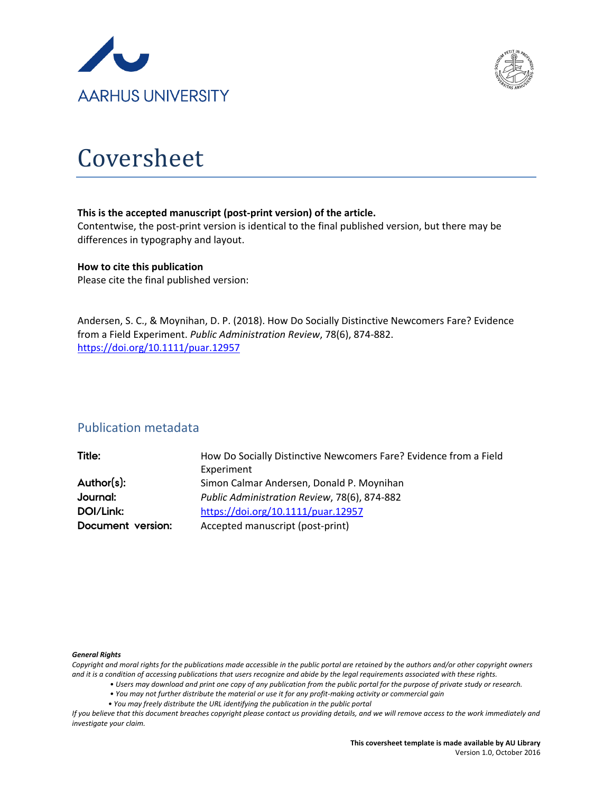



# Coversheet

#### **This is the accepted manuscript (post-print version) of the article.**

Contentwise, the post-print version is identical to the final published version, but there may be differences in typography and layout.

#### **How to cite this publication**

Please cite the final published version:

Andersen, S. C., & Moynihan, D. P. (2018). How Do Socially Distinctive Newcomers Fare? Evidence from a Field Experiment. *Public Administration Review*, 78(6), 874-882. <https://doi.org/10.1111/puar.12957>

# Publication metadata

#### *General Rights*

*Copyright and moral rights for the publications made accessible in the public portal are retained by the authors and/or other copyright owners and it is a condition of accessing publications that users recognize and abide by the legal requirements associated with these rights.*

- *Users may download and print one copy of any publication from the public portal for the purpose of private study or research.*
- *You may not further distribute the material or use it for any profit-making activity or commercial gain*
- *You may freely distribute the URL identifying the publication in the public portal*

*If you believe that this document breaches copyright please contact us providing details, and we will remove access to the work immediately and investigate your claim.*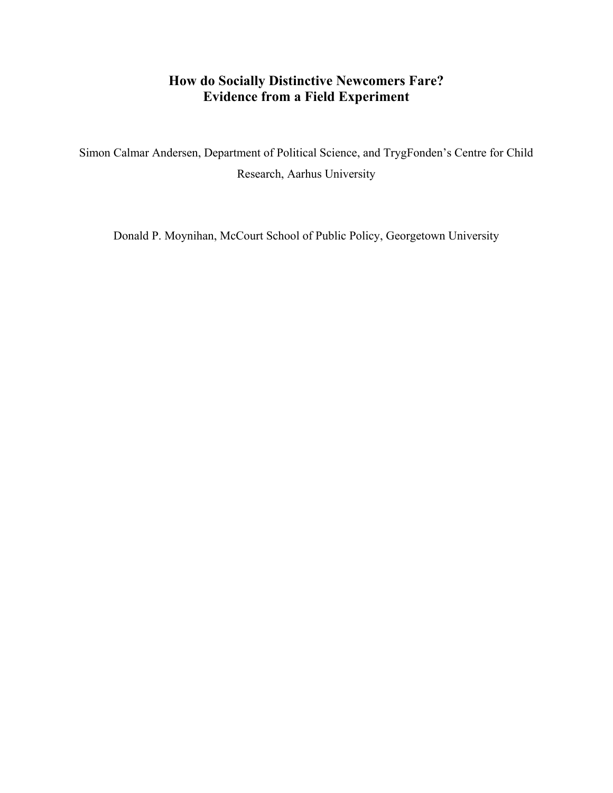# **How do Socially Distinctive Newcomers Fare? Evidence from a Field Experiment**

Simon Calmar Andersen, Department of Political Science, and TrygFonden's Centre for Child Research, Aarhus University

Donald P. Moynihan, McCourt School of Public Policy, Georgetown University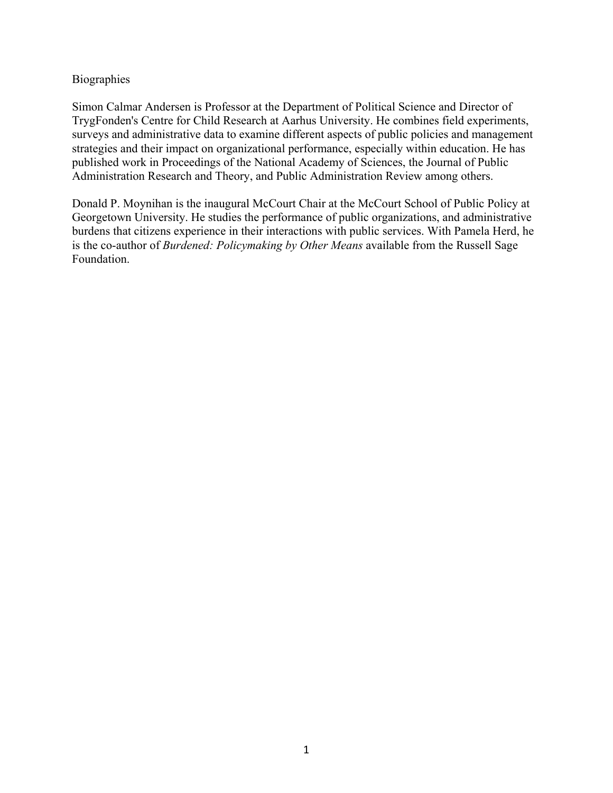# Biographies

Simon Calmar Andersen is Professor at the Department of Political Science and Director of TrygFonden's Centre for Child Research at Aarhus University. He combines field experiments, surveys and administrative data to examine different aspects of public policies and management strategies and their impact on organizational performance, especially within education. He has published work in Proceedings of the National Academy of Sciences, the Journal of Public Administration Research and Theory, and Public Administration Review among others.

Donald P. Moynihan is the inaugural McCourt Chair at the McCourt School of Public Policy at Georgetown University. He studies the performance of public organizations, and administrative burdens that citizens experience in their interactions with public services. With Pamela Herd, he is the co-author of *Burdened: Policymaking by Other Means* available from the Russell Sage Foundation.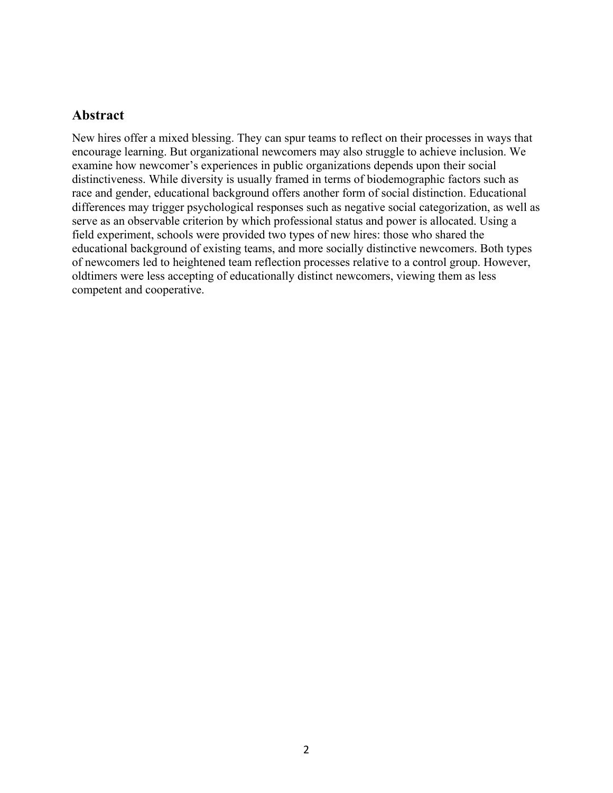# **Abstract**

New hires offer a mixed blessing. They can spur teams to reflect on their processes in ways that encourage learning. But organizational newcomers may also struggle to achieve inclusion. We examine how newcomer's experiences in public organizations depends upon their social distinctiveness. While diversity is usually framed in terms of biodemographic factors such as race and gender, educational background offers another form of social distinction. Educational differences may trigger psychological responses such as negative social categorization, as well as serve as an observable criterion by which professional status and power is allocated. Using a field experiment, schools were provided two types of new hires: those who shared the educational background of existing teams, and more socially distinctive newcomers. Both types of newcomers led to heightened team reflection processes relative to a control group. However, oldtimers were less accepting of educationally distinct newcomers, viewing them as less competent and cooperative.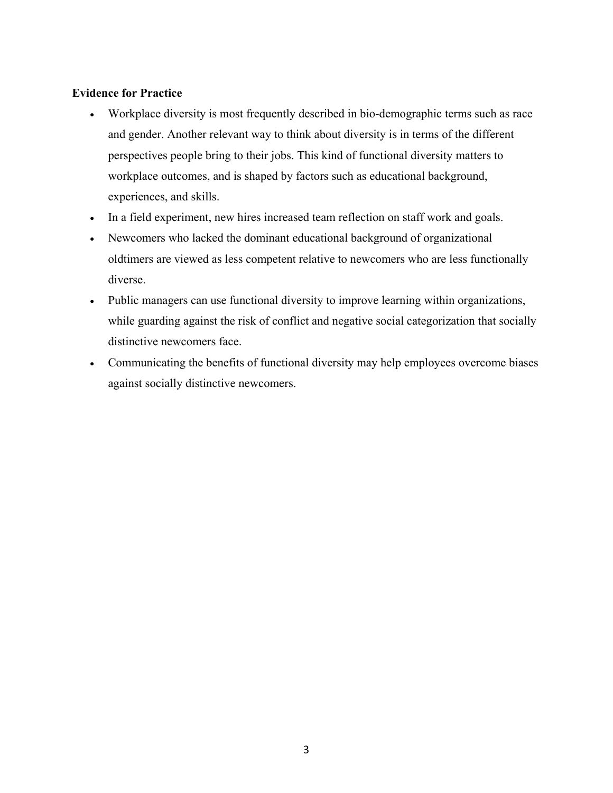# **Evidence for Practice**

- Workplace diversity is most frequently described in bio-demographic terms such as race and gender. Another relevant way to think about diversity is in terms of the different perspectives people bring to their jobs. This kind of functional diversity matters to workplace outcomes, and is shaped by factors such as educational background, experiences, and skills.
- In a field experiment, new hires increased team reflection on staff work and goals.
- Newcomers who lacked the dominant educational background of organizational oldtimers are viewed as less competent relative to newcomers who are less functionally diverse.
- Public managers can use functional diversity to improve learning within organizations, while guarding against the risk of conflict and negative social categorization that socially distinctive newcomers face.
- Communicating the benefits of functional diversity may help employees overcome biases against socially distinctive newcomers.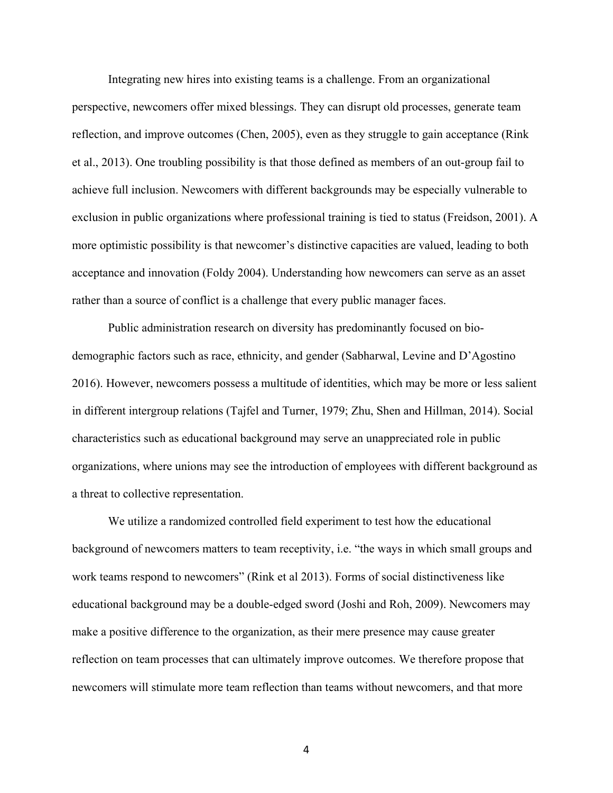Integrating new hires into existing teams is a challenge. From an organizational perspective, newcomers offer mixed blessings. They can disrupt old processes, generate team reflection, and improve outcomes (Chen, 2005), even as they struggle to gain acceptance (Rink et al., 2013). One troubling possibility is that those defined as members of an out-group fail to achieve full inclusion. Newcomers with different backgrounds may be especially vulnerable to exclusion in public organizations where professional training is tied to status (Freidson, 2001). A more optimistic possibility is that newcomer's distinctive capacities are valued, leading to both acceptance and innovation (Foldy 2004). Understanding how newcomers can serve as an asset rather than a source of conflict is a challenge that every public manager faces.

Public administration research on diversity has predominantly focused on biodemographic factors such as race, ethnicity, and gender (Sabharwal, Levine and D'Agostino 2016). However, newcomers possess a multitude of identities, which may be more or less salient in different intergroup relations (Tajfel and Turner, 1979; Zhu, Shen and Hillman, 2014). Social characteristics such as educational background may serve an unappreciated role in public organizations, where unions may see the introduction of employees with different background as a threat to collective representation.

We utilize a randomized controlled field experiment to test how the educational background of newcomers matters to team receptivity, i.e. "the ways in which small groups and work teams respond to newcomers" (Rink et al 2013). Forms of social distinctiveness like educational background may be a double-edged sword (Joshi and Roh, 2009). Newcomers may make a positive difference to the organization, as their mere presence may cause greater reflection on team processes that can ultimately improve outcomes. We therefore propose that newcomers will stimulate more team reflection than teams without newcomers, and that more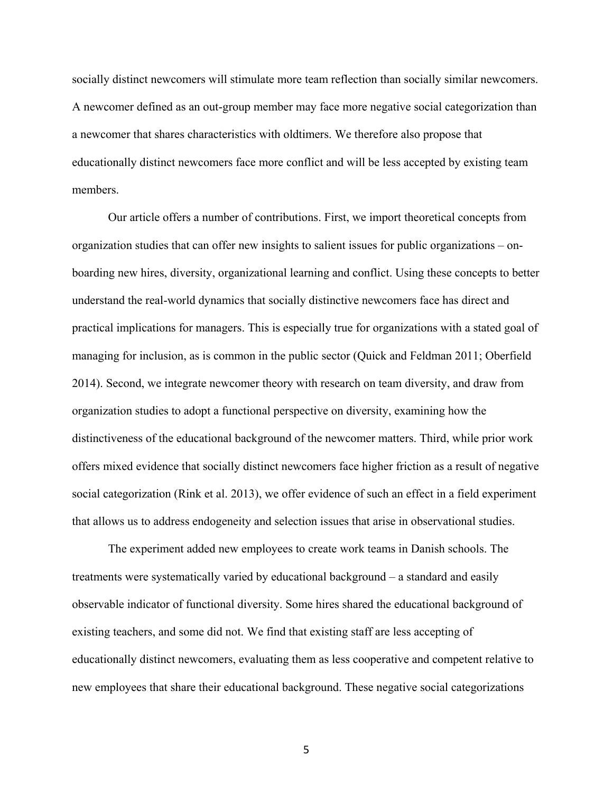socially distinct newcomers will stimulate more team reflection than socially similar newcomers. A newcomer defined as an out-group member may face more negative social categorization than a newcomer that shares characteristics with oldtimers. We therefore also propose that educationally distinct newcomers face more conflict and will be less accepted by existing team members.

Our article offers a number of contributions. First, we import theoretical concepts from organization studies that can offer new insights to salient issues for public organizations – onboarding new hires, diversity, organizational learning and conflict. Using these concepts to better understand the real-world dynamics that socially distinctive newcomers face has direct and practical implications for managers. This is especially true for organizations with a stated goal of managing for inclusion, as is common in the public sector (Quick and Feldman 2011; Oberfield 2014). Second, we integrate newcomer theory with research on team diversity, and draw from organization studies to adopt a functional perspective on diversity, examining how the distinctiveness of the educational background of the newcomer matters. Third, while prior work offers mixed evidence that socially distinct newcomers face higher friction as a result of negative social categorization (Rink et al. 2013), we offer evidence of such an effect in a field experiment that allows us to address endogeneity and selection issues that arise in observational studies.

The experiment added new employees to create work teams in Danish schools. The treatments were systematically varied by educational background – a standard and easily observable indicator of functional diversity. Some hires shared the educational background of existing teachers, and some did not. We find that existing staff are less accepting of educationally distinct newcomers, evaluating them as less cooperative and competent relative to new employees that share their educational background. These negative social categorizations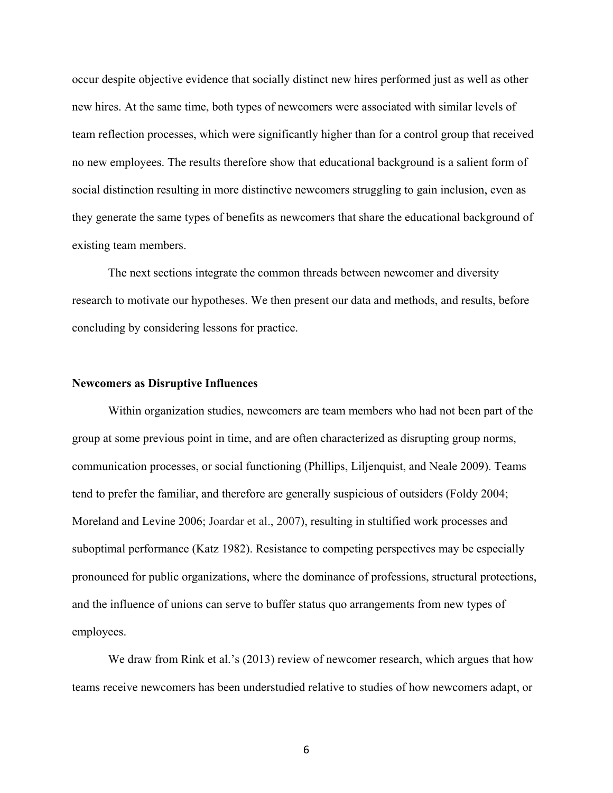occur despite objective evidence that socially distinct new hires performed just as well as other new hires. At the same time, both types of newcomers were associated with similar levels of team reflection processes, which were significantly higher than for a control group that received no new employees. The results therefore show that educational background is a salient form of social distinction resulting in more distinctive newcomers struggling to gain inclusion, even as they generate the same types of benefits as newcomers that share the educational background of existing team members.

The next sections integrate the common threads between newcomer and diversity research to motivate our hypotheses. We then present our data and methods, and results, before concluding by considering lessons for practice.

#### **Newcomers as Disruptive Influences**

Within organization studies, newcomers are team members who had not been part of the group at some previous point in time, and are often characterized as disrupting group norms, communication processes, or social functioning (Phillips, Liljenquist, and Neale 2009). Teams tend to prefer the familiar, and therefore are generally suspicious of outsiders (Foldy 2004; Moreland and Levine 2006; Joardar et al., 2007), resulting in stultified work processes and suboptimal performance (Katz 1982). Resistance to competing perspectives may be especially pronounced for public organizations, where the dominance of professions, structural protections, and the influence of unions can serve to buffer status quo arrangements from new types of employees.

We draw from Rink et al.'s (2013) review of newcomer research, which argues that how teams receive newcomers has been understudied relative to studies of how newcomers adapt, or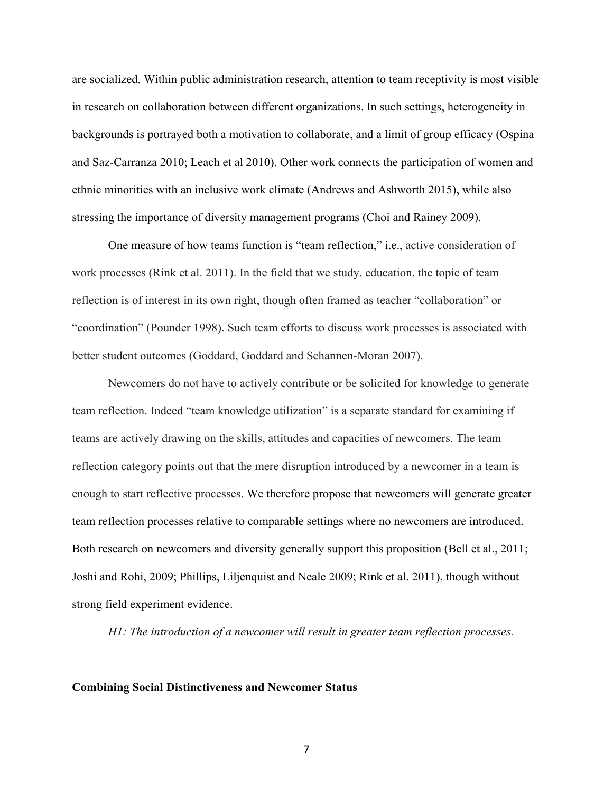are socialized. Within public administration research, attention to team receptivity is most visible in research on collaboration between different organizations. In such settings, heterogeneity in backgrounds is portrayed both a motivation to collaborate, and a limit of group efficacy (Ospina and Saz-Carranza 2010; Leach et al 2010). Other work connects the participation of women and ethnic minorities with an inclusive work climate (Andrews and Ashworth 2015), while also stressing the importance of diversity management programs (Choi and Rainey 2009).

One measure of how teams function is "team reflection," i.e., active consideration of work processes (Rink et al. 2011). In the field that we study, education, the topic of team reflection is of interest in its own right, though often framed as teacher "collaboration" or "coordination" (Pounder 1998). Such team efforts to discuss work processes is associated with better student outcomes (Goddard, Goddard and Schannen-Moran 2007).

Newcomers do not have to actively contribute or be solicited for knowledge to generate team reflection. Indeed "team knowledge utilization" is a separate standard for examining if teams are actively drawing on the skills, attitudes and capacities of newcomers. The team reflection category points out that the mere disruption introduced by a newcomer in a team is enough to start reflective processes. We therefore propose that newcomers will generate greater team reflection processes relative to comparable settings where no newcomers are introduced. Both research on newcomers and diversity generally support this proposition (Bell et al., 2011; Joshi and Rohi, 2009; Phillips, Liljenquist and Neale 2009; Rink et al. 2011), though without strong field experiment evidence.

*H1: The introduction of a newcomer will result in greater team reflection processes.* 

#### **Combining Social Distinctiveness and Newcomer Status**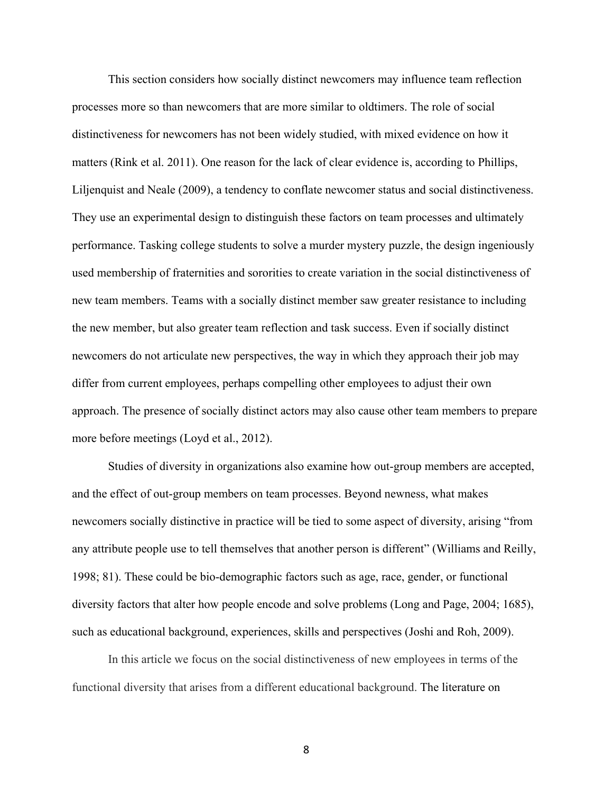This section considers how socially distinct newcomers may influence team reflection processes more so than newcomers that are more similar to oldtimers. The role of social distinctiveness for newcomers has not been widely studied, with mixed evidence on how it matters (Rink et al. 2011). One reason for the lack of clear evidence is, according to Phillips, Liljenquist and Neale (2009), a tendency to conflate newcomer status and social distinctiveness. They use an experimental design to distinguish these factors on team processes and ultimately performance. Tasking college students to solve a murder mystery puzzle, the design ingeniously used membership of fraternities and sororities to create variation in the social distinctiveness of new team members. Teams with a socially distinct member saw greater resistance to including the new member, but also greater team reflection and task success. Even if socially distinct newcomers do not articulate new perspectives, the way in which they approach their job may differ from current employees, perhaps compelling other employees to adjust their own approach. The presence of socially distinct actors may also cause other team members to prepare more before meetings (Loyd et al., 2012).

Studies of diversity in organizations also examine how out-group members are accepted, and the effect of out-group members on team processes. Beyond newness, what makes newcomers socially distinctive in practice will be tied to some aspect of diversity, arising "from any attribute people use to tell themselves that another person is different" (Williams and Reilly, 1998; 81). These could be bio-demographic factors such as age, race, gender, or functional diversity factors that alter how people encode and solve problems (Long and Page, 2004; 1685), such as educational background, experiences, skills and perspectives (Joshi and Roh, 2009).

In this article we focus on the social distinctiveness of new employees in terms of the functional diversity that arises from a different educational background. The literature on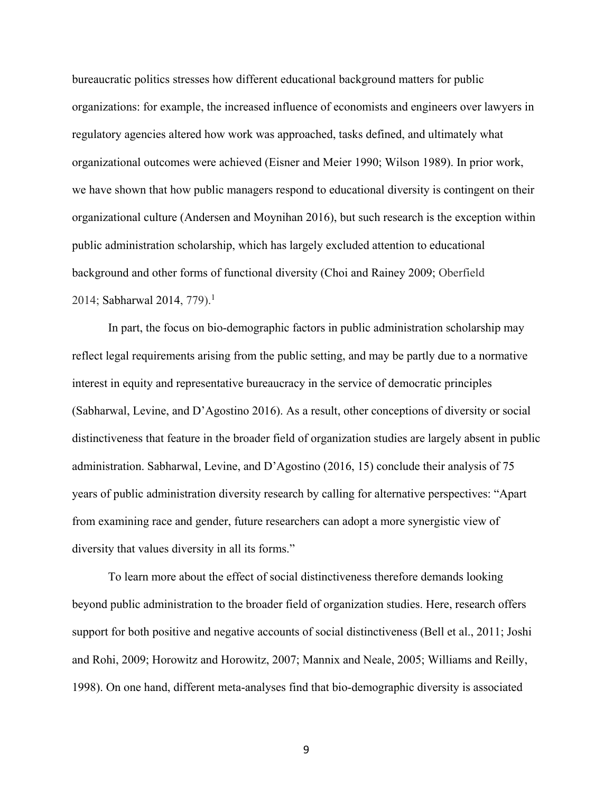bureaucratic politics stresses how different educational background matters for public organizations: for example, the increased influence of economists and engineers over lawyers in regulatory agencies altered how work was approached, tasks defined, and ultimately what organizational outcomes were achieved (Eisner and Meier 1990; Wilson 1989). In prior work, we have shown that how public managers respond to educational diversity is contingent on their organizational culture (Andersen and Moynihan 2016), but such research is the exception within public administration scholarship, which has largely excluded attention to educational background and other forms of functional diversity (Choi and Rainey 2009; Oberfield 2014; Sabharwal 2014, 779).<sup>1</sup>

In part, the focus on bio-demographic factors in public administration scholarship may reflect legal requirements arising from the public setting, and may be partly due to a normative interest in equity and representative bureaucracy in the service of democratic principles [\(Sabharwal,](http://journals.sagepub.com/author/Sabharwal%2C+Meghna) [Levine,](http://journals.sagepub.com/author/Levine%2C+Helisse) [and D'Agostino](http://journals.sagepub.com/author/D%27Agostino%2C+Maria) 2016). As a result, other conceptions of diversity or social distinctiveness that feature in the broader field of organization studies are largely absent in public administration. [Sabharwal,](http://journals.sagepub.com/author/Sabharwal%2C+Meghna) [Levine,](http://journals.sagepub.com/author/Levine%2C+Helisse) [and D'Agostino](http://journals.sagepub.com/author/D%27Agostino%2C+Maria) (2016, 15) conclude their analysis of 75 years of public administration diversity research by calling for alternative perspectives: "Apart from examining race and gender, future researchers can adopt a more synergistic view of diversity that values diversity in all its forms."

To learn more about the effect of social distinctiveness therefore demands looking beyond public administration to the broader field of organization studies. Here, research offers support for both positive and negative accounts of social distinctiveness (Bell et al., 2011; Joshi and Rohi, 2009; Horowitz and Horowitz, 2007; Mannix and Neale, 2005; Williams and Reilly, 1998). On one hand, different meta-analyses find that bio-demographic diversity is associated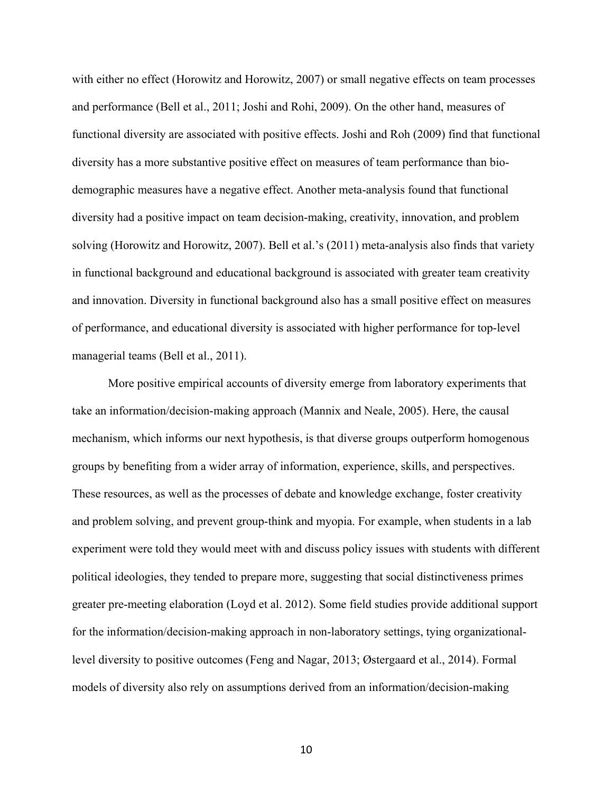with either no effect (Horowitz and Horowitz, 2007) or small negative effects on team processes and performance (Bell et al., 2011; Joshi and Rohi, 2009). On the other hand, measures of functional diversity are associated with positive effects. Joshi and Roh (2009) find that functional diversity has a more substantive positive effect on measures of team performance than biodemographic measures have a negative effect. Another meta-analysis found that functional diversity had a positive impact on team decision-making, creativity, innovation, and problem solving (Horowitz and Horowitz, 2007). Bell et al.'s (2011) meta-analysis also finds that variety in functional background and educational background is associated with greater team creativity and innovation. Diversity in functional background also has a small positive effect on measures of performance, and educational diversity is associated with higher performance for top-level managerial teams (Bell et al., 2011).

More positive empirical accounts of diversity emerge from laboratory experiments that take an information/decision-making approach (Mannix and Neale, 2005). Here, the causal mechanism, which informs our next hypothesis, is that diverse groups outperform homogenous groups by benefiting from a wider array of information, experience, skills, and perspectives. These resources, as well as the processes of debate and knowledge exchange, foster creativity and problem solving, and prevent group-think and myopia. For example, when students in a lab experiment were told they would meet with and discuss policy issues with students with different political ideologies, they tended to prepare more, suggesting that social distinctiveness primes greater pre-meeting elaboration (Loyd et al. 2012). Some field studies provide additional support for the information/decision-making approach in non-laboratory settings, tying organizationallevel diversity to positive outcomes (Feng and Nagar, 2013; Østergaard et al., 2014). Formal models of diversity also rely on assumptions derived from an information/decision-making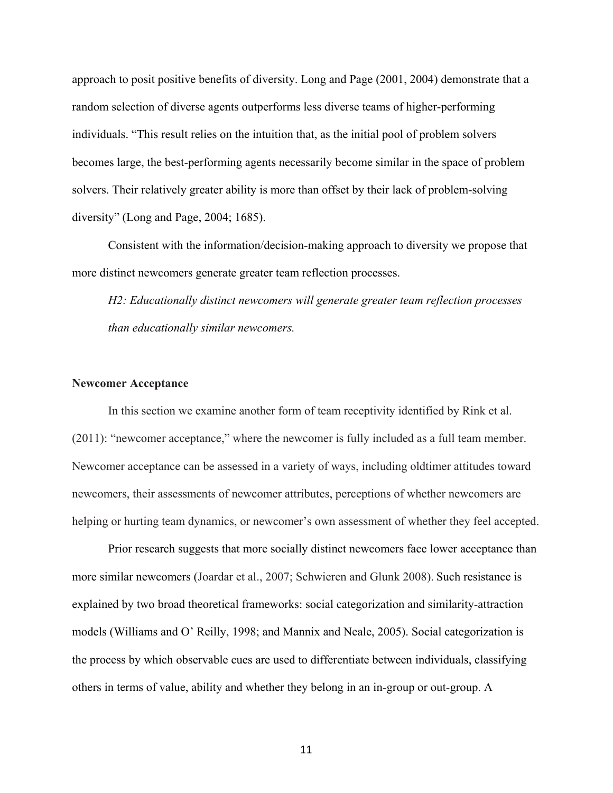approach to posit positive benefits of diversity. Long and Page (2001, 2004) demonstrate that a random selection of diverse agents outperforms less diverse teams of higher-performing individuals. "This result relies on the intuition that, as the initial pool of problem solvers becomes large, the best-performing agents necessarily become similar in the space of problem solvers. Their relatively greater ability is more than offset by their lack of problem-solving diversity" (Long and Page, 2004; 1685).

Consistent with the information/decision-making approach to diversity we propose that more distinct newcomers generate greater team reflection processes.

*H2: Educationally distinct newcomers will generate greater team reflection processes than educationally similar newcomers.* 

#### **Newcomer Acceptance**

In this section we examine another form of team receptivity identified by Rink et al. (2011): "newcomer acceptance," where the newcomer is fully included as a full team member. Newcomer acceptance can be assessed in a variety of ways, including oldtimer attitudes toward newcomers, their assessments of newcomer attributes, perceptions of whether newcomers are helping or hurting team dynamics, or newcomer's own assessment of whether they feel accepted.

Prior research suggests that more socially distinct newcomers face lower acceptance than more similar newcomers (Joardar et al., 2007; Schwieren and Glunk 2008). Such resistance is explained by two broad theoretical frameworks: social categorization and similarity-attraction models (Williams and O' Reilly, 1998; and Mannix and Neale, 2005). Social categorization is the process by which observable cues are used to differentiate between individuals, classifying others in terms of value, ability and whether they belong in an in-group or out-group. A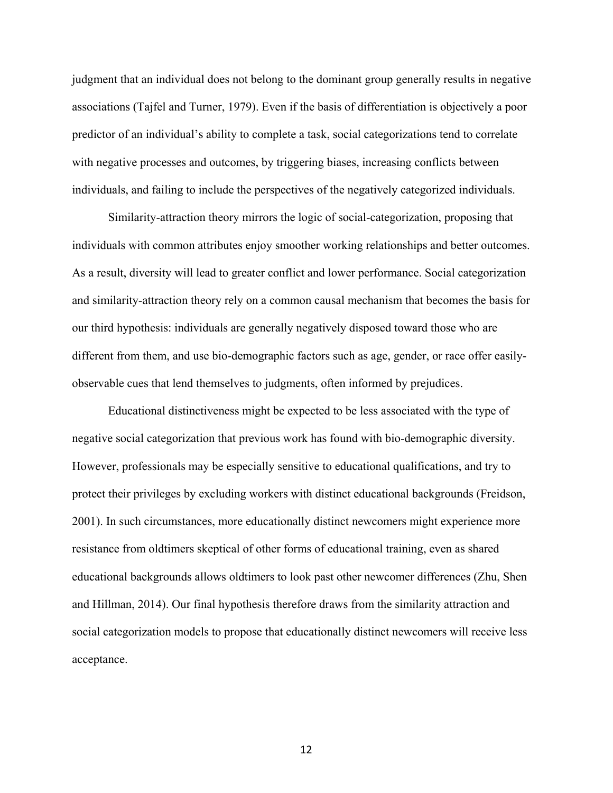judgment that an individual does not belong to the dominant group generally results in negative associations (Tajfel and Turner, 1979). Even if the basis of differentiation is objectively a poor predictor of an individual's ability to complete a task, social categorizations tend to correlate with negative processes and outcomes, by triggering biases, increasing conflicts between individuals, and failing to include the perspectives of the negatively categorized individuals.

Similarity-attraction theory mirrors the logic of social-categorization, proposing that individuals with common attributes enjoy smoother working relationships and better outcomes. As a result, diversity will lead to greater conflict and lower performance. Social categorization and similarity-attraction theory rely on a common causal mechanism that becomes the basis for our third hypothesis: individuals are generally negatively disposed toward those who are different from them, and use bio-demographic factors such as age, gender, or race offer easilyobservable cues that lend themselves to judgments, often informed by prejudices.

Educational distinctiveness might be expected to be less associated with the type of negative social categorization that previous work has found with bio-demographic diversity. However, professionals may be especially sensitive to educational qualifications, and try to protect their privileges by excluding workers with distinct educational backgrounds (Freidson, 2001). In such circumstances, more educationally distinct newcomers might experience more resistance from oldtimers skeptical of other forms of educational training, even as shared educational backgrounds allows oldtimers to look past other newcomer differences (Zhu, Shen and Hillman, 2014). Our final hypothesis therefore draws from the similarity attraction and social categorization models to propose that educationally distinct newcomers will receive less acceptance.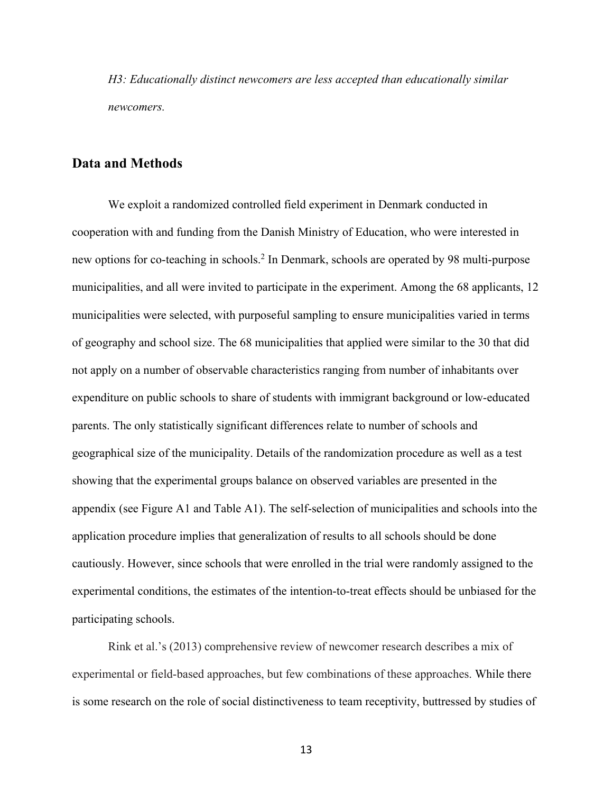*H3: Educationally distinct newcomers are less accepted than educationally similar newcomers.* 

# **Data and Methods**

We exploit a randomized controlled field experiment in Denmark conducted in cooperation with and funding from the Danish Ministry of Education, who were interested in new options for co-teaching in schools.<sup>2</sup> In Denmark, schools are operated by 98 multi-purpose municipalities, and all were invited to participate in the experiment. Among the 68 applicants, 12 municipalities were selected, with purposeful sampling to ensure municipalities varied in terms of geography and school size. The 68 municipalities that applied were similar to the 30 that did not apply on a number of observable characteristics ranging from number of inhabitants over expenditure on public schools to share of students with immigrant background or low-educated parents. The only statistically significant differences relate to number of schools and geographical size of the municipality. Details of the randomization procedure as well as a test showing that the experimental groups balance on observed variables are presented in the appendix (see Figure A1 and Table A1). The self-selection of municipalities and schools into the application procedure implies that generalization of results to all schools should be done cautiously. However, since schools that were enrolled in the trial were randomly assigned to the experimental conditions, the estimates of the intention-to-treat effects should be unbiased for the participating schools.

Rink et al.'s (2013) comprehensive review of newcomer research describes a mix of experimental or field-based approaches, but few combinations of these approaches. While there is some research on the role of social distinctiveness to team receptivity, buttressed by studies of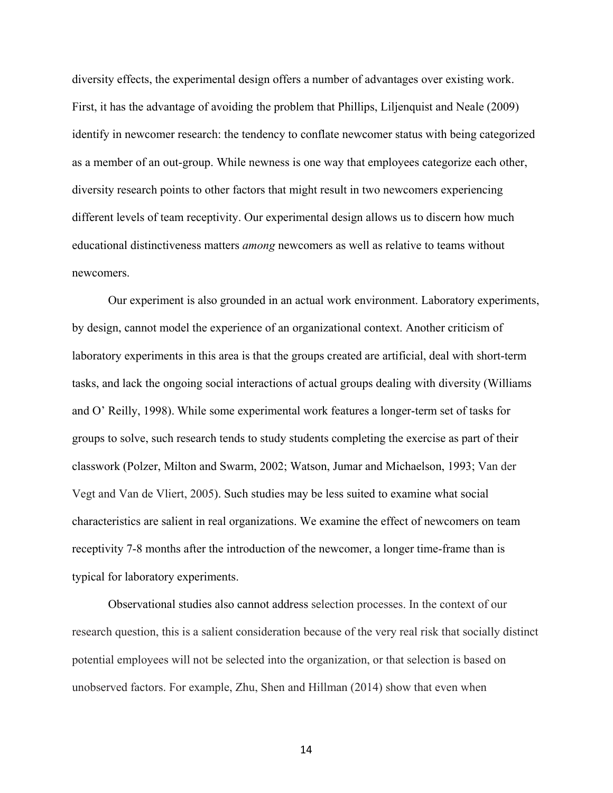diversity effects, the experimental design offers a number of advantages over existing work. First, it has the advantage of avoiding the problem that Phillips, Liljenquist and Neale (2009) identify in newcomer research: the tendency to conflate newcomer status with being categorized as a member of an out-group. While newness is one way that employees categorize each other, diversity research points to other factors that might result in two newcomers experiencing different levels of team receptivity. Our experimental design allows us to discern how much educational distinctiveness matters *among* newcomers as well as relative to teams without newcomers.

Our experiment is also grounded in an actual work environment. Laboratory experiments, by design, cannot model the experience of an organizational context. Another criticism of laboratory experiments in this area is that the groups created are artificial, deal with short-term tasks, and lack the ongoing social interactions of actual groups dealing with diversity (Williams and O' Reilly, 1998). While some experimental work features a longer-term set of tasks for groups to solve, such research tends to study students completing the exercise as part of their classwork (Polzer, Milton and Swarm, 2002; Watson, Jumar and Michaelson, 1993; Van der Vegt and Van de Vliert, 2005). Such studies may be less suited to examine what social characteristics are salient in real organizations. We examine the effect of newcomers on team receptivity 7-8 months after the introduction of the newcomer, a longer time-frame than is typical for laboratory experiments.

Observational studies also cannot address selection processes. In the context of our research question, this is a salient consideration because of the very real risk that socially distinct potential employees will not be selected into the organization, or that selection is based on unobserved factors. For example, Zhu, Shen and Hillman (2014) show that even when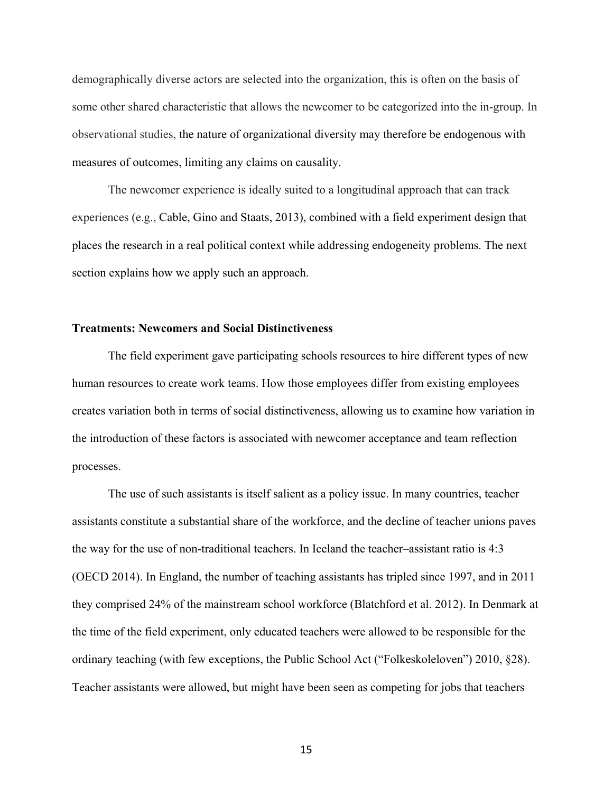demographically diverse actors are selected into the organization, this is often on the basis of some other shared characteristic that allows the newcomer to be categorized into the in-group. In observational studies, the nature of organizational diversity may therefore be endogenous with measures of outcomes, limiting any claims on causality.

The newcomer experience is ideally suited to a longitudinal approach that can track experiences (e.g., Cable, Gino and Staats, 2013), combined with a field experiment design that places the research in a real political context while addressing endogeneity problems. The next section explains how we apply such an approach.

### **Treatments: Newcomers and Social Distinctiveness**

The field experiment gave participating schools resources to hire different types of new human resources to create work teams. How those employees differ from existing employees creates variation both in terms of social distinctiveness, allowing us to examine how variation in the introduction of these factors is associated with newcomer acceptance and team reflection processes.

The use of such assistants is itself salient as a policy issue. In many countries, teacher assistants constitute a substantial share of the workforce, and the decline of teacher unions paves the way for the use of non-traditional teachers. In Iceland the teacher–assistant ratio is 4:3 (OECD 2014). In England, the number of teaching assistants has tripled since 1997, and in 2011 they comprised 24% of the mainstream school workforce (Blatchford et al. 2012). In Denmark at the time of the field experiment, only educated teachers were allowed to be responsible for the ordinary teaching (with few exceptions, the Public School Act ("Folkeskoleloven") 2010, §28). Teacher assistants were allowed, but might have been seen as competing for jobs that teachers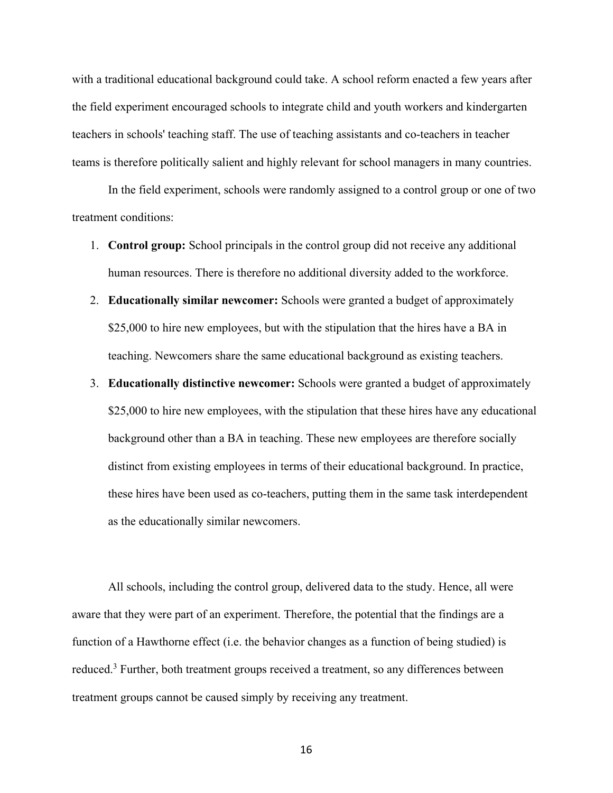with a traditional educational background could take. A school reform enacted a few years after the field experiment encouraged schools to integrate child and youth workers and kindergarten teachers in schools' teaching staff. The use of teaching assistants and co-teachers in teacher teams is therefore politically salient and highly relevant for school managers in many countries.

In the field experiment, schools were randomly assigned to a control group or one of two treatment conditions:

- 1. **Control group:** School principals in the control group did not receive any additional human resources. There is therefore no additional diversity added to the workforce.
- 2. **Educationally similar newcomer:** Schools were granted a budget of approximately \$25,000 to hire new employees, but with the stipulation that the hires have a BA in teaching. Newcomers share the same educational background as existing teachers.
- 3. **Educationally distinctive newcomer:** Schools were granted a budget of approximately \$25,000 to hire new employees, with the stipulation that these hires have any educational background other than a BA in teaching. These new employees are therefore socially distinct from existing employees in terms of their educational background. In practice, these hires have been used as co-teachers, putting them in the same task interdependent as the educationally similar newcomers.

All schools, including the control group, delivered data to the study. Hence, all were aware that they were part of an experiment. Therefore, the potential that the findings are a function of a Hawthorne effect (i.e. the behavior changes as a function of being studied) is reduced.<sup>3</sup> Further, both treatment groups received a treatment, so any differences between treatment groups cannot be caused simply by receiving any treatment.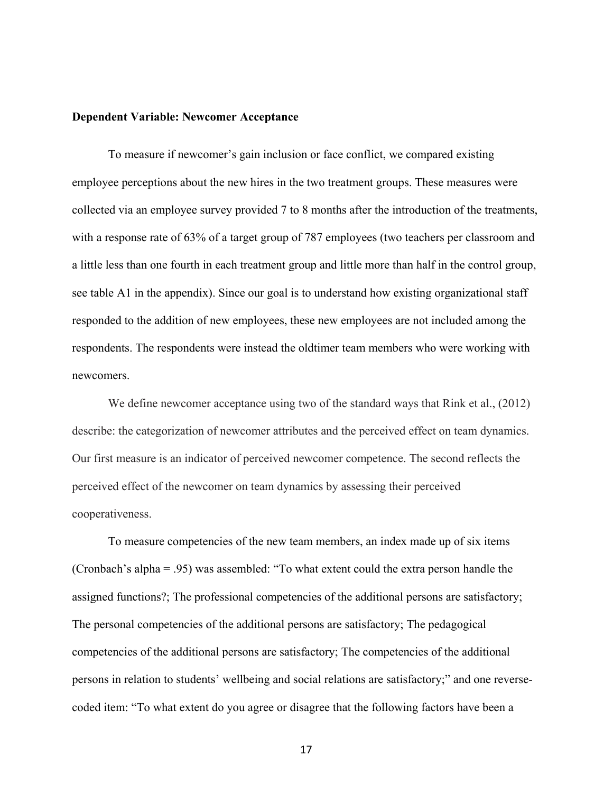#### **Dependent Variable: Newcomer Acceptance**

To measure if newcomer's gain inclusion or face conflict, we compared existing employee perceptions about the new hires in the two treatment groups. These measures were collected via an employee survey provided 7 to 8 months after the introduction of the treatments, with a response rate of 63% of a target group of 787 employees (two teachers per classroom and a little less than one fourth in each treatment group and little more than half in the control group, see table A1 in the appendix). Since our goal is to understand how existing organizational staff responded to the addition of new employees, these new employees are not included among the respondents. The respondents were instead the oldtimer team members who were working with newcomers.

We define newcomer acceptance using two of the standard ways that Rink et al., (2012) describe: the categorization of newcomer attributes and the perceived effect on team dynamics. Our first measure is an indicator of perceived newcomer competence. The second reflects the perceived effect of the newcomer on team dynamics by assessing their perceived cooperativeness.

To measure competencies of the new team members, an index made up of six items (Cronbach's alpha = .95) was assembled: "To what extent could the extra person handle the assigned functions?; The professional competencies of the additional persons are satisfactory; The personal competencies of the additional persons are satisfactory; The pedagogical competencies of the additional persons are satisfactory; The competencies of the additional persons in relation to students' wellbeing and social relations are satisfactory;" and one reversecoded item: "To what extent do you agree or disagree that the following factors have been a

<sup>17</sup>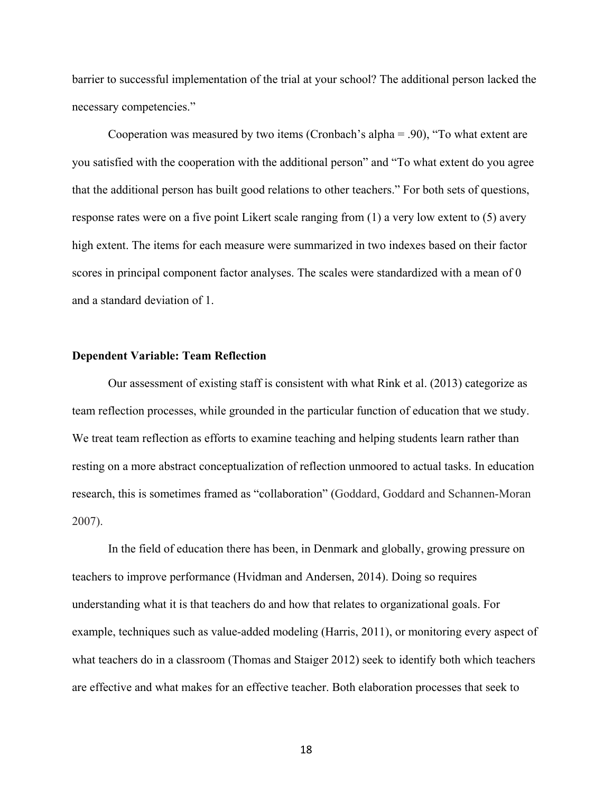barrier to successful implementation of the trial at your school? The additional person lacked the necessary competencies."

Cooperation was measured by two items (Cronbach's alpha = .90), "To what extent are you satisfied with the cooperation with the additional person" and "To what extent do you agree that the additional person has built good relations to other teachers." For both sets of questions, response rates were on a five point Likert scale ranging from (1) a very low extent to (5) avery high extent. The items for each measure were summarized in two indexes based on their factor scores in principal component factor analyses. The scales were standardized with a mean of 0 and a standard deviation of 1.

#### **Dependent Variable: Team Reflection**

Our assessment of existing staff is consistent with what Rink et al. (2013) categorize as team reflection processes, while grounded in the particular function of education that we study. We treat team reflection as efforts to examine teaching and helping students learn rather than resting on a more abstract conceptualization of reflection unmoored to actual tasks. In education research, this is sometimes framed as "collaboration" (Goddard, Goddard and Schannen-Moran 2007).

In the field of education there has been, in Denmark and globally, growing pressure on teachers to improve performance (Hvidman and Andersen, 2014). Doing so requires understanding what it is that teachers do and how that relates to organizational goals. For example, techniques such as value-added modeling (Harris, 2011), or monitoring every aspect of what teachers do in a classroom (Thomas and Staiger 2012) seek to identify both which teachers are effective and what makes for an effective teacher. Both elaboration processes that seek to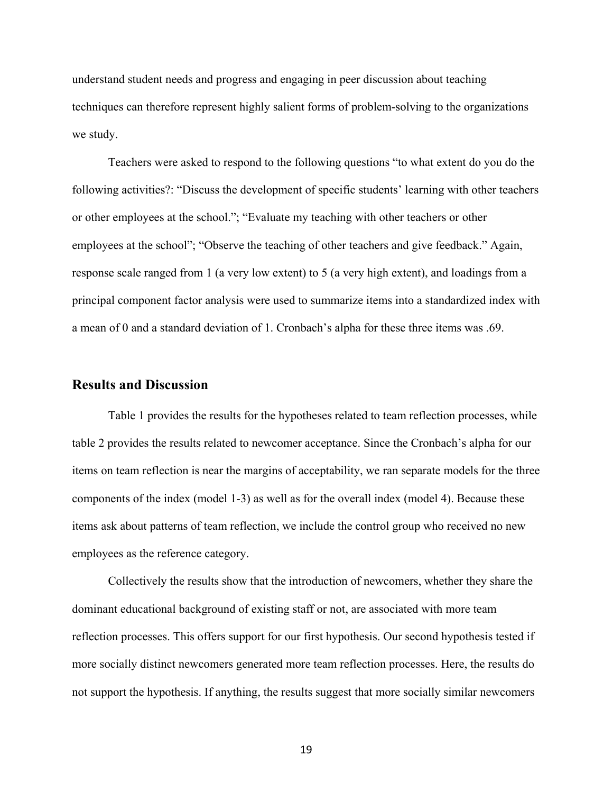understand student needs and progress and engaging in peer discussion about teaching techniques can therefore represent highly salient forms of problem-solving to the organizations we study.

Teachers were asked to respond to the following questions "to what extent do you do the following activities?: "Discuss the development of specific students' learning with other teachers or other employees at the school."; "Evaluate my teaching with other teachers or other employees at the school"; "Observe the teaching of other teachers and give feedback." Again, response scale ranged from 1 (a very low extent) to 5 (a very high extent), and loadings from a principal component factor analysis were used to summarize items into a standardized index with a mean of 0 and a standard deviation of 1. Cronbach's alpha for these three items was .69.

## **Results and Discussion**

Table 1 provides the results for the hypotheses related to team reflection processes, while table 2 provides the results related to newcomer acceptance. Since the Cronbach's alpha for our items on team reflection is near the margins of acceptability, we ran separate models for the three components of the index (model 1-3) as well as for the overall index (model 4). Because these items ask about patterns of team reflection, we include the control group who received no new employees as the reference category.

Collectively the results show that the introduction of newcomers, whether they share the dominant educational background of existing staff or not, are associated with more team reflection processes. This offers support for our first hypothesis. Our second hypothesis tested if more socially distinct newcomers generated more team reflection processes. Here, the results do not support the hypothesis. If anything, the results suggest that more socially similar newcomers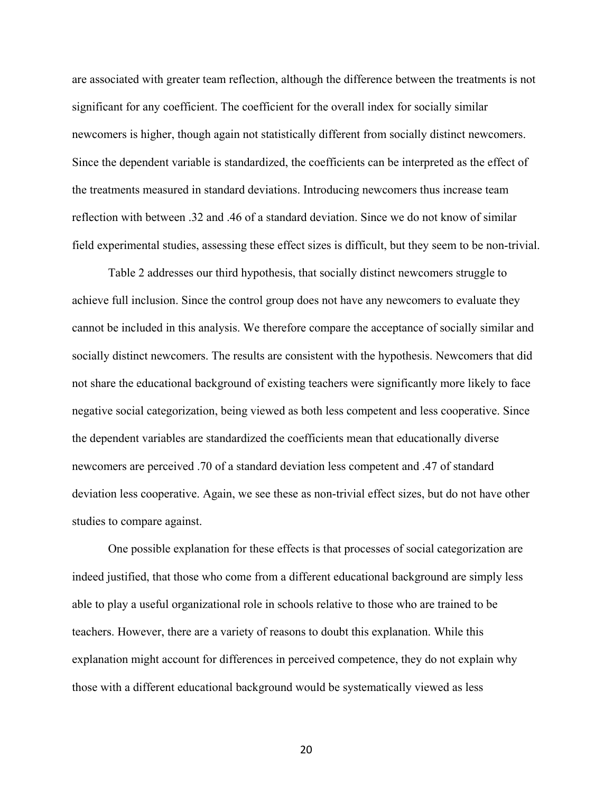are associated with greater team reflection, although the difference between the treatments is not significant for any coefficient. The coefficient for the overall index for socially similar newcomers is higher, though again not statistically different from socially distinct newcomers. Since the dependent variable is standardized, the coefficients can be interpreted as the effect of the treatments measured in standard deviations. Introducing newcomers thus increase team reflection with between .32 and .46 of a standard deviation. Since we do not know of similar field experimental studies, assessing these effect sizes is difficult, but they seem to be non-trivial.

Table 2 addresses our third hypothesis, that socially distinct newcomers struggle to achieve full inclusion. Since the control group does not have any newcomers to evaluate they cannot be included in this analysis. We therefore compare the acceptance of socially similar and socially distinct newcomers. The results are consistent with the hypothesis. Newcomers that did not share the educational background of existing teachers were significantly more likely to face negative social categorization, being viewed as both less competent and less cooperative. Since the dependent variables are standardized the coefficients mean that educationally diverse newcomers are perceived .70 of a standard deviation less competent and .47 of standard deviation less cooperative. Again, we see these as non-trivial effect sizes, but do not have other studies to compare against.

One possible explanation for these effects is that processes of social categorization are indeed justified, that those who come from a different educational background are simply less able to play a useful organizational role in schools relative to those who are trained to be teachers. However, there are a variety of reasons to doubt this explanation. While this explanation might account for differences in perceived competence, they do not explain why those with a different educational background would be systematically viewed as less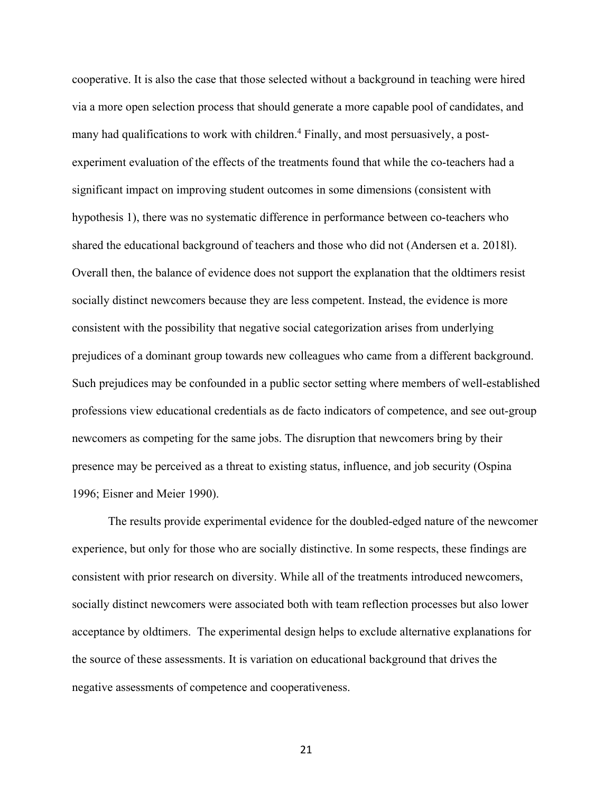cooperative. It is also the case that those selected without a background in teaching were hired via a more open selection process that should generate a more capable pool of candidates, and many had qualifications to work with children.<sup>4</sup> Finally, and most persuasively, a postexperiment evaluation of the effects of the treatments found that while the co-teachers had a significant impact on improving student outcomes in some dimensions (consistent with hypothesis 1), there was no systematic difference in performance between co-teachers who shared the educational background of teachers and those who did not (Andersen et a. 2018l). Overall then, the balance of evidence does not support the explanation that the oldtimers resist socially distinct newcomers because they are less competent. Instead, the evidence is more consistent with the possibility that negative social categorization arises from underlying prejudices of a dominant group towards new colleagues who came from a different background. Such prejudices may be confounded in a public sector setting where members of well-established professions view educational credentials as de facto indicators of competence, and see out-group newcomers as competing for the same jobs. The disruption that newcomers bring by their presence may be perceived as a threat to existing status, influence, and job security (Ospina 1996; Eisner and Meier 1990).

The results provide experimental evidence for the doubled-edged nature of the newcomer experience, but only for those who are socially distinctive. In some respects, these findings are consistent with prior research on diversity. While all of the treatments introduced newcomers, socially distinct newcomers were associated both with team reflection processes but also lower acceptance by oldtimers. The experimental design helps to exclude alternative explanations for the source of these assessments. It is variation on educational background that drives the negative assessments of competence and cooperativeness.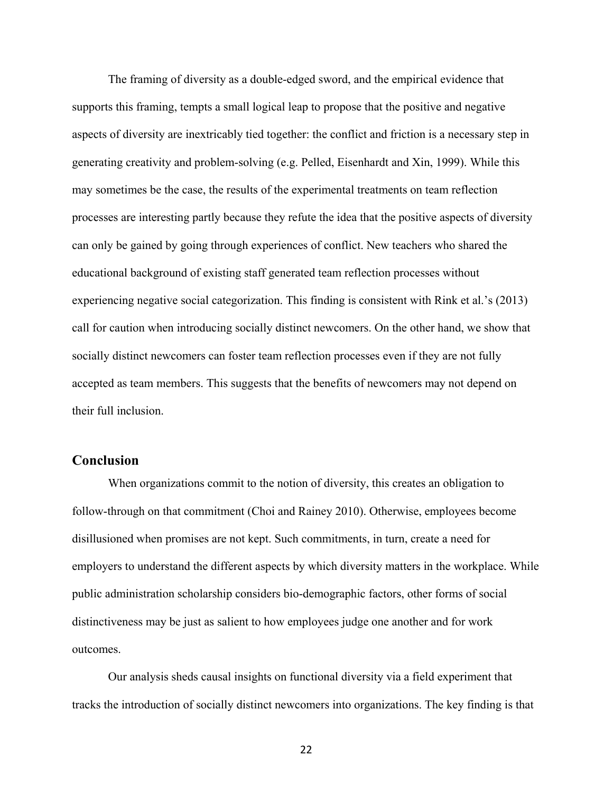The framing of diversity as a double-edged sword, and the empirical evidence that supports this framing, tempts a small logical leap to propose that the positive and negative aspects of diversity are inextricably tied together: the conflict and friction is a necessary step in generating creativity and problem-solving (e.g. Pelled, Eisenhardt and Xin, 1999). While this may sometimes be the case, the results of the experimental treatments on team reflection processes are interesting partly because they refute the idea that the positive aspects of diversity can only be gained by going through experiences of conflict. New teachers who shared the educational background of existing staff generated team reflection processes without experiencing negative social categorization. This finding is consistent with Rink et al.'s (2013) call for caution when introducing socially distinct newcomers. On the other hand, we show that socially distinct newcomers can foster team reflection processes even if they are not fully accepted as team members. This suggests that the benefits of newcomers may not depend on their full inclusion.

# **Conclusion**

When organizations commit to the notion of diversity, this creates an obligation to follow-through on that commitment (Choi and Rainey 2010). Otherwise, employees become disillusioned when promises are not kept. Such commitments, in turn, create a need for employers to understand the different aspects by which diversity matters in the workplace. While public administration scholarship considers bio-demographic factors, other forms of social distinctiveness may be just as salient to how employees judge one another and for work outcomes.

Our analysis sheds causal insights on functional diversity via a field experiment that tracks the introduction of socially distinct newcomers into organizations. The key finding is that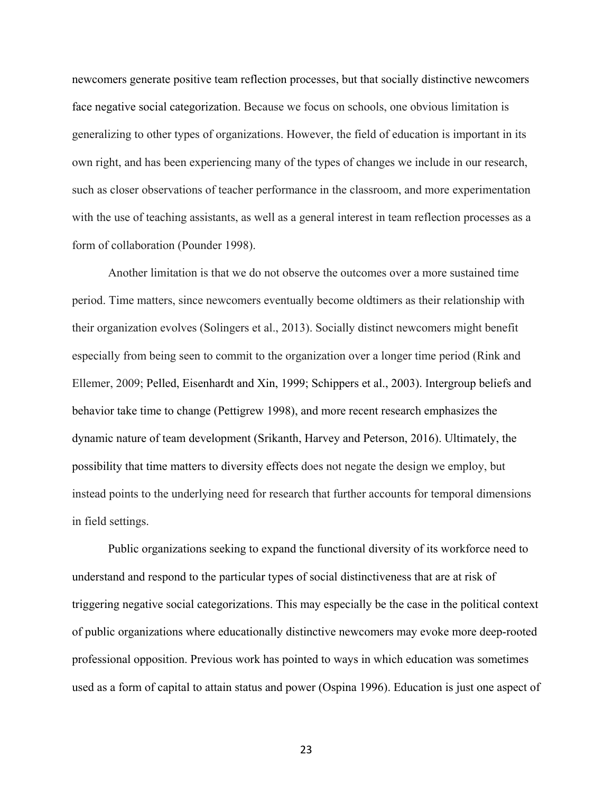newcomers generate positive team reflection processes, but that socially distinctive newcomers face negative social categorization. Because we focus on schools, one obvious limitation is generalizing to other types of organizations. However, the field of education is important in its own right, and has been experiencing many of the types of changes we include in our research, such as closer observations of teacher performance in the classroom, and more experimentation with the use of teaching assistants, as well as a general interest in team reflection processes as a form of collaboration (Pounder 1998).

Another limitation is that we do not observe the outcomes over a more sustained time period. Time matters, since newcomers eventually become oldtimers as their relationship with their organization evolves (Solingers et al., 2013). Socially distinct newcomers might benefit especially from being seen to commit to the organization over a longer time period (Rink and Ellemer, 2009; Pelled, Eisenhardt and Xin, 1999; Schippers et al., 2003). Intergroup beliefs and behavior take time to change (Pettigrew 1998), and more recent research emphasizes the dynamic nature of team development (Srikanth, Harvey and Peterson, 2016). Ultimately, the possibility that time matters to diversity effects does not negate the design we employ, but instead points to the underlying need for research that further accounts for temporal dimensions in field settings.

Public organizations seeking to expand the functional diversity of its workforce need to understand and respond to the particular types of social distinctiveness that are at risk of triggering negative social categorizations. This may especially be the case in the political context of public organizations where educationally distinctive newcomers may evoke more deep-rooted professional opposition. Previous work has pointed to ways in which education was sometimes used as a form of capital to attain status and power (Ospina 1996). Education is just one aspect of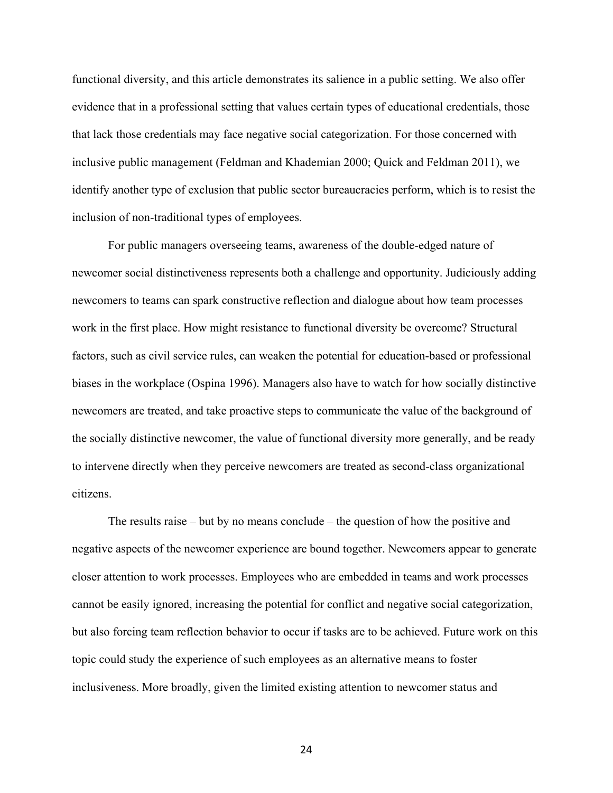functional diversity, and this article demonstrates its salience in a public setting. We also offer evidence that in a professional setting that values certain types of educational credentials, those that lack those credentials may face negative social categorization. For those concerned with inclusive public management (Feldman and Khademian 2000; Quick and Feldman 2011), we identify another type of exclusion that public sector bureaucracies perform, which is to resist the inclusion of non-traditional types of employees.

For public managers overseeing teams, awareness of the double-edged nature of newcomer social distinctiveness represents both a challenge and opportunity. Judiciously adding newcomers to teams can spark constructive reflection and dialogue about how team processes work in the first place. How might resistance to functional diversity be overcome? Structural factors, such as civil service rules, can weaken the potential for education-based or professional biases in the workplace (Ospina 1996). Managers also have to watch for how socially distinctive newcomers are treated, and take proactive steps to communicate the value of the background of the socially distinctive newcomer, the value of functional diversity more generally, and be ready to intervene directly when they perceive newcomers are treated as second-class organizational citizens.

The results raise – but by no means conclude – the question of how the positive and negative aspects of the newcomer experience are bound together. Newcomers appear to generate closer attention to work processes. Employees who are embedded in teams and work processes cannot be easily ignored, increasing the potential for conflict and negative social categorization, but also forcing team reflection behavior to occur if tasks are to be achieved. Future work on this topic could study the experience of such employees as an alternative means to foster inclusiveness. More broadly, given the limited existing attention to newcomer status and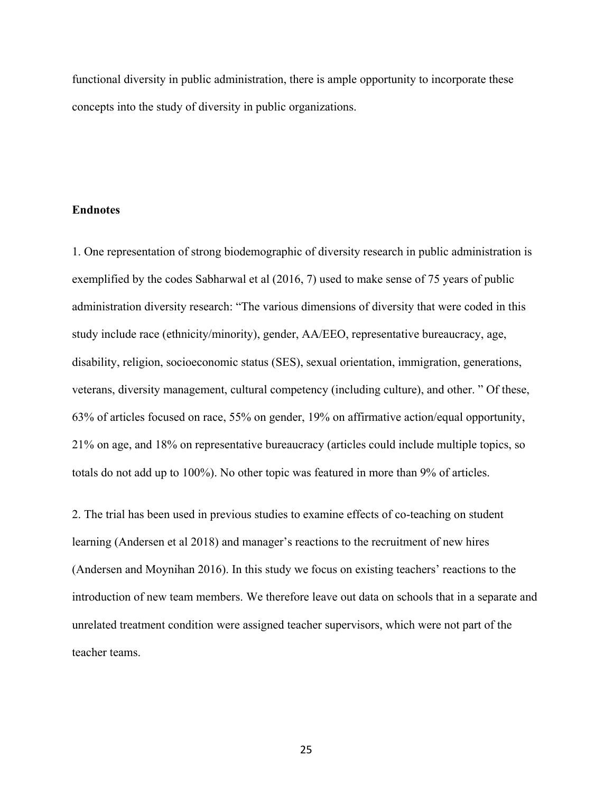functional diversity in public administration, there is ample opportunity to incorporate these concepts into the study of diversity in public organizations.

#### **Endnotes**

1. One representation of strong biodemographic of diversity research in public administration is exemplified by the codes Sabharwal et al (2016, 7) used to make sense of 75 years of public administration diversity research: "The various dimensions of diversity that were coded in this study include race (ethnicity/minority), gender, AA/EEO, representative bureaucracy, age, disability, religion, socioeconomic status (SES), sexual orientation, immigration, generations, veterans, diversity management, cultural competency (including culture), and other. " Of these, 63% of articles focused on race, 55% on gender, 19% on affirmative action/equal opportunity, 21% on age, and 18% on representative bureaucracy (articles could include multiple topics, so totals do not add up to 100%). No other topic was featured in more than 9% of articles.

2. The trial has been used in previous studies to examine effects of co-teaching on student learning (Andersen et al 2018) and manager's reactions to the recruitment of new hires (Andersen and Moynihan 2016). In this study we focus on existing teachers' reactions to the introduction of new team members. We therefore leave out data on schools that in a separate and unrelated treatment condition were assigned teacher supervisors, which were not part of the teacher teams.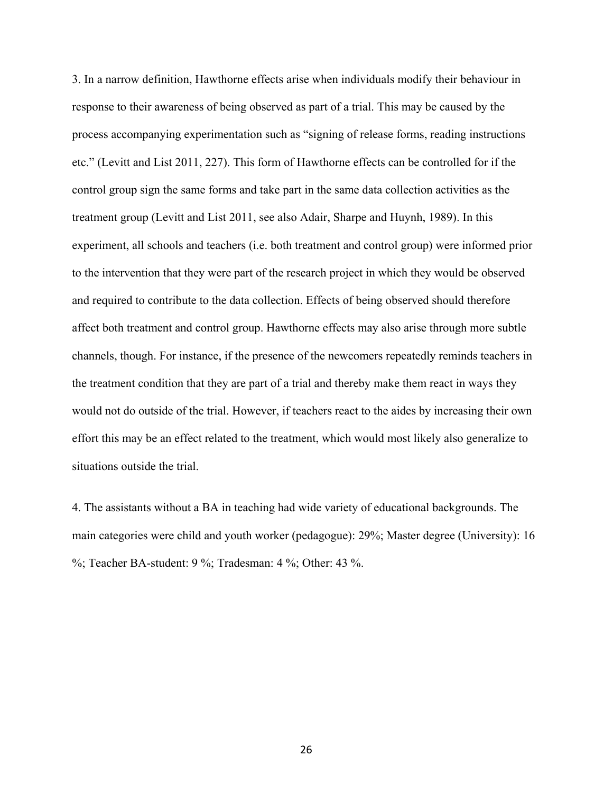3. In a narrow definition, Hawthorne effects arise when individuals modify their behaviour in response to their awareness of being observed as part of a trial. This may be caused by the process accompanying experimentation such as "signing of release forms, reading instructions etc." (Levitt and List 2011, 227). This form of Hawthorne effects can be controlled for if the control group sign the same forms and take part in the same data collection activities as the treatment group (Levitt and List 2011, see also Adair, Sharpe and Huynh, 1989). In this experiment, all schools and teachers (i.e. both treatment and control group) were informed prior to the intervention that they were part of the research project in which they would be observed and required to contribute to the data collection. Effects of being observed should therefore affect both treatment and control group. Hawthorne effects may also arise through more subtle channels, though. For instance, if the presence of the newcomers repeatedly reminds teachers in the treatment condition that they are part of a trial and thereby make them react in ways they would not do outside of the trial. However, if teachers react to the aides by increasing their own effort this may be an effect related to the treatment, which would most likely also generalize to situations outside the trial.

4. The assistants without a BA in teaching had wide variety of educational backgrounds. The main categories were child and youth worker (pedagogue): 29%; Master degree (University): 16 %; Teacher BA-student: 9 %; Tradesman: 4 %; Other: 43 %.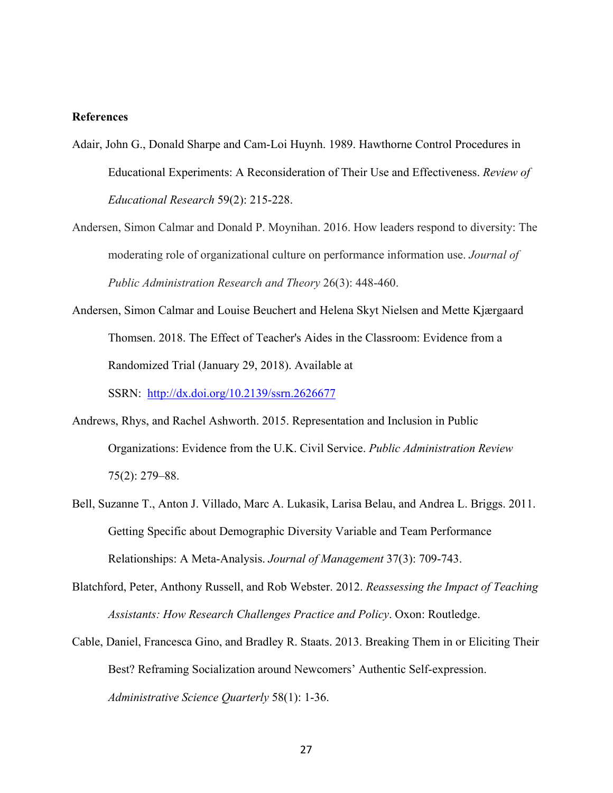#### **References**

- Adair, John G., Donald Sharpe and Cam-Loi Huynh. 1989. Hawthorne Control Procedures in Educational Experiments: A Reconsideration of Their Use and Effectiveness. *Review of Educational Research* 59(2): 215-228.
- Andersen, Simon Calmar and Donald P. Moynihan. 2016. How leaders respond to diversity: The moderating role of organizational culture on performance information use. *Journal of Public Administration Research and Theory* 26(3): 448-460.
- Andersen, Simon Calmar and Louise Beuchert and Helena Skyt Nielsen and Mette Kjærgaard Thomsen. 2018. The Effect of Teacher's Aides in the Classroom: Evidence from a Randomized Trial (January 29, 2018). Available at SSRN: <http://dx.doi.org/10.2139/ssrn.2626677>
- Andrews, Rhys, and Rachel Ashworth. 2015. Representation and Inclusion in Public Organizations: Evidence from the U.K. Civil Service. *Public Administration Review*  75(2): 279–88.
- Bell, Suzanne T., Anton J. Villado, Marc A. Lukasik, Larisa Belau, and Andrea L. Briggs. 2011. Getting Specific about Demographic Diversity Variable and Team Performance Relationships: A Meta-Analysis. *Journal of Management* 37(3): 709-743.
- Blatchford, Peter, Anthony Russell, and Rob Webster. 2012. *Reassessing the Impact of Teaching Assistants: How Research Challenges Practice and Policy*. Oxon: Routledge.
- Cable, Daniel, Francesca Gino, and Bradley R. Staats. 2013. Breaking Them in or Eliciting Their Best? Reframing Socialization around Newcomers' Authentic Self-expression. *Administrative Science Quarterly* 58(1): 1-36.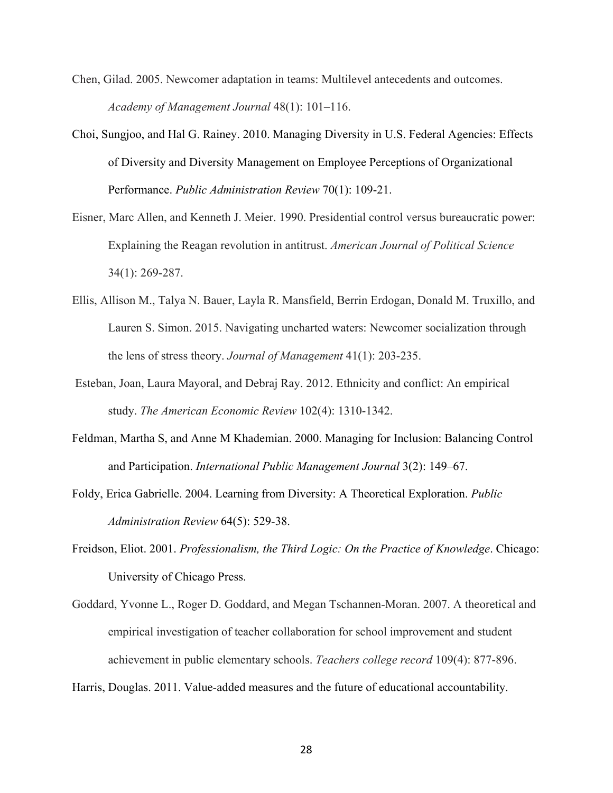- Chen, Gilad. 2005. Newcomer adaptation in teams: Multilevel antecedents and outcomes. *Academy of Management Journal* 48(1): 101–116.
- Choi, Sungjoo, and Hal G. Rainey. 2010. Managing Diversity in U.S. Federal Agencies: Effects of Diversity and Diversity Management on Employee Perceptions of Organizational Performance. *Public Administration Review* 70(1): 109-21.
- Eisner, Marc Allen, and Kenneth J. Meier. 1990. Presidential control versus bureaucratic power: Explaining the Reagan revolution in antitrust. *American Journal of Political Science* 34(1): 269-287.
- Ellis, Allison M., Talya N. Bauer, Layla R. Mansfield, Berrin Erdogan, Donald M. Truxillo, and Lauren S. Simon. 2015. Navigating uncharted waters: Newcomer socialization through the lens of stress theory. *Journal of Management* 41(1): 203-235.
- Esteban, Joan, Laura Mayoral, and Debraj Ray. 2012. Ethnicity and conflict: An empirical study. *The American Economic Review* 102(4): 1310-1342.
- Feldman, Martha S, and Anne M Khademian. 2000. Managing for Inclusion: Balancing Control and Participation. *International Public Management Journal* 3(2): 149–67.
- Foldy, Erica Gabrielle. 2004. Learning from Diversity: A Theoretical Exploration. *Public Administration Review* 64(5): 529-38.
- Freidson, Eliot. 2001. *Professionalism, the Third Logic: On the Practice of Knowledge*. Chicago: University of Chicago Press.
- Goddard, Yvonne L., Roger D. Goddard, and Megan Tschannen-Moran. 2007. A theoretical and empirical investigation of teacher collaboration for school improvement and student achievement in public elementary schools. *Teachers college record* 109(4): 877-896.

Harris, Douglas. 2011. Value-added measures and the future of educational accountability.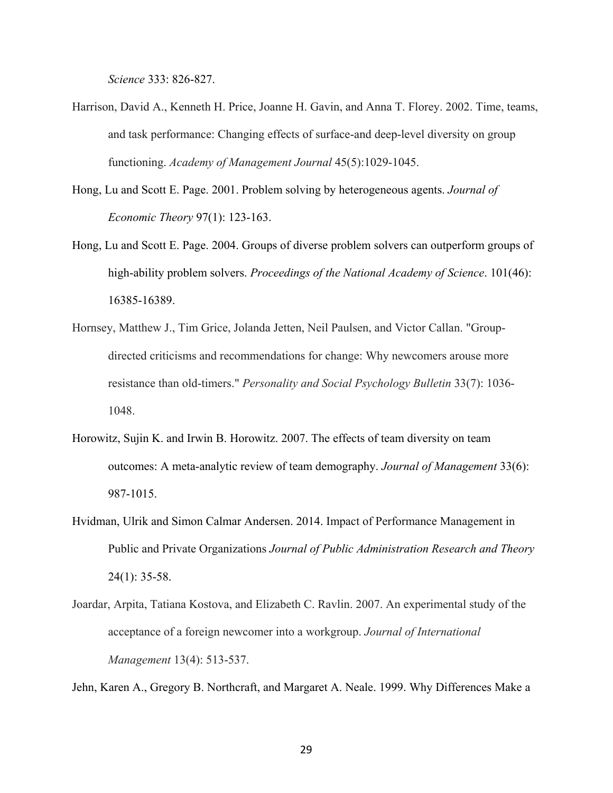*Science* 333: 826-827.

- Harrison, David A., Kenneth H. Price, Joanne H. Gavin, and Anna T. Florey. 2002. Time, teams, and task performance: Changing effects of surface-and deep-level diversity on group functioning. *Academy of Management Journal* 45(5):1029-1045.
- Hong, Lu and Scott E. Page. 2001. Problem solving by heterogeneous agents. *Journal of Economic Theory* 97(1): 123-163.
- Hong, Lu and Scott E. Page. 2004. Groups of diverse problem solvers can outperform groups of high-ability problem solvers. *Proceedings of the National Academy of Science*. 101(46): 16385-16389.
- Hornsey, Matthew J., Tim Grice, Jolanda Jetten, Neil Paulsen, and Victor Callan. "Groupdirected criticisms and recommendations for change: Why newcomers arouse more resistance than old-timers." *Personality and Social Psychology Bulletin* 33(7): 1036- 1048.
- Horowitz, Sujin K. and Irwin B. Horowitz. 2007. The effects of team diversity on team outcomes: A meta-analytic review of team demography. *Journal of Management* 33(6): 987-1015.
- Hvidman, Ulrik and Simon Calmar Andersen. 2014. Impact of Performance Management in Public and Private Organizations *Journal of Public Administration Research and Theory* 24(1): 35-58.
- Joardar, Arpita, Tatiana Kostova, and Elizabeth C. Ravlin. 2007. An experimental study of the acceptance of a foreign newcomer into a workgroup. *Journal of International Management* 13(4): 513-537.

Jehn, Karen A., Gregory B. Northcraft, and Margaret A. Neale. 1999. Why Differences Make a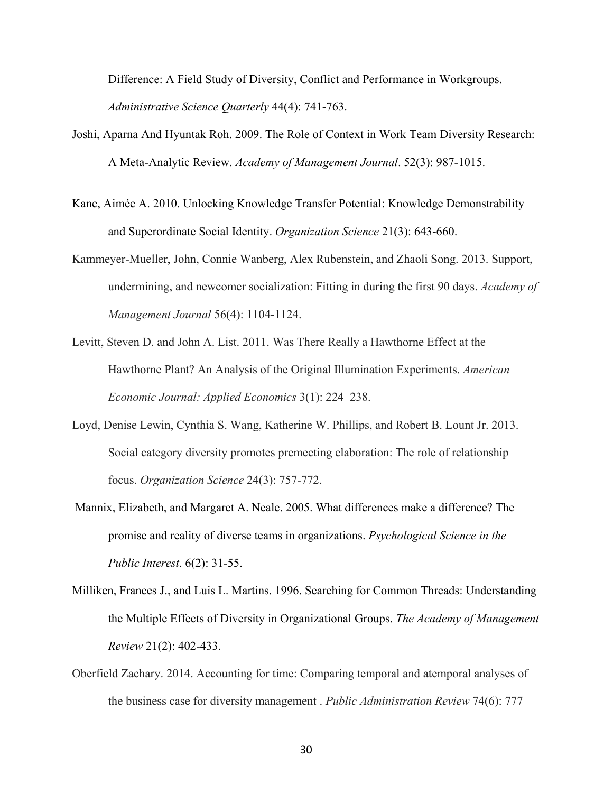Difference: A Field Study of Diversity, Conflict and Performance in Workgroups. *Administrative Science Quarterly* 44(4): 741-763.

- Joshi, Aparna And Hyuntak Roh. 2009. The Role of Context in Work Team Diversity Research: A Meta-Analytic Review. *Academy of Management Journal*. 52(3): 987-1015.
- Kane, Aimée A. 2010. Unlocking Knowledge Transfer Potential: Knowledge Demonstrability and Superordinate Social Identity. *Organization Science* 21(3): 643-660.
- Kammeyer-Mueller, John, Connie Wanberg, Alex Rubenstein, and Zhaoli Song. 2013. Support, undermining, and newcomer socialization: Fitting in during the first 90 days. *Academy of Management Journal* 56(4): 1104-1124.
- Levitt, Steven D. and John A. List. 2011. Was There Really a Hawthorne Effect at the Hawthorne Plant? An Analysis of the Original Illumination Experiments. *American Economic Journal: Applied Economics* 3(1): 224–238.
- Loyd, Denise Lewin, Cynthia S. Wang, Katherine W. Phillips, and Robert B. Lount Jr. 2013. Social category diversity promotes premeeting elaboration: The role of relationship focus. *Organization Science* 24(3): 757-772.
- Mannix, Elizabeth, and Margaret A. Neale. 2005. What differences make a difference? The promise and reality of diverse teams in organizations. *Psychological Science in the Public Interest*. 6(2): 31-55.
- Milliken, Frances J., and Luis L. Martins. 1996. Searching for Common Threads: Understanding the Multiple Effects of Diversity in Organizational Groups. *The Academy of Management Review* 21(2): 402-433.
- Oberfield Zachary. 2014. Accounting for time: Comparing temporal and atemporal analyses of the business case for diversity management . *Public Administration Review* 74(6): 777 –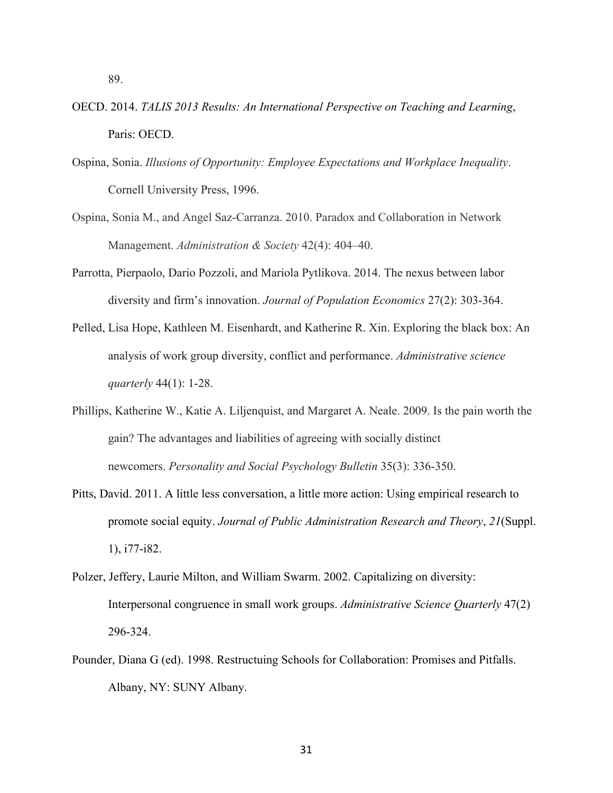- OECD. 2014. *TALIS 2013 Results: An International Perspective on Teaching and Learning*, Paris: OECD.
- Ospina, Sonia. *Illusions of Opportunity: Employee Expectations and Workplace Inequality*. Cornell University Press, 1996.
- Ospina, Sonia M., and Angel Saz-Carranza. 2010. Paradox and Collaboration in Network Management. *Administration & Society* 42(4): 404–40.
- Parrotta, Pierpaolo, Dario Pozzoli, and Mariola Pytlikova. 2014. The nexus between labor diversity and firm's innovation. *Journal of Population Economics* 27(2): 303-364.
- Pelled, Lisa Hope, Kathleen M. Eisenhardt, and Katherine R. Xin. Exploring the black box: An analysis of work group diversity, conflict and performance. *Administrative science quarterly* 44(1): 1-28.
- Phillips, Katherine W., Katie A. Liljenquist, and Margaret A. Neale. 2009. Is the pain worth the gain? The advantages and liabilities of agreeing with socially distinct newcomers. *Personality and Social Psychology Bulletin* 35(3): 336-350.
- Pitts, David. 2011. A little less conversation, a little more action: Using empirical research to promote social equity. *Journal of Public Administration Research and Theory*, *21*(Suppl. 1), i77-i82.
- Polzer, Jeffery, Laurie Milton, and William Swarm. 2002. Capitalizing on diversity: Interpersonal congruence in small work groups. *Administrative Science Quarterly* 47(2) 296-324.
- Pounder, Diana G (ed). 1998. Restructuing Schools for Collaboration: Promises and Pitfalls. Albany, NY: SUNY Albany.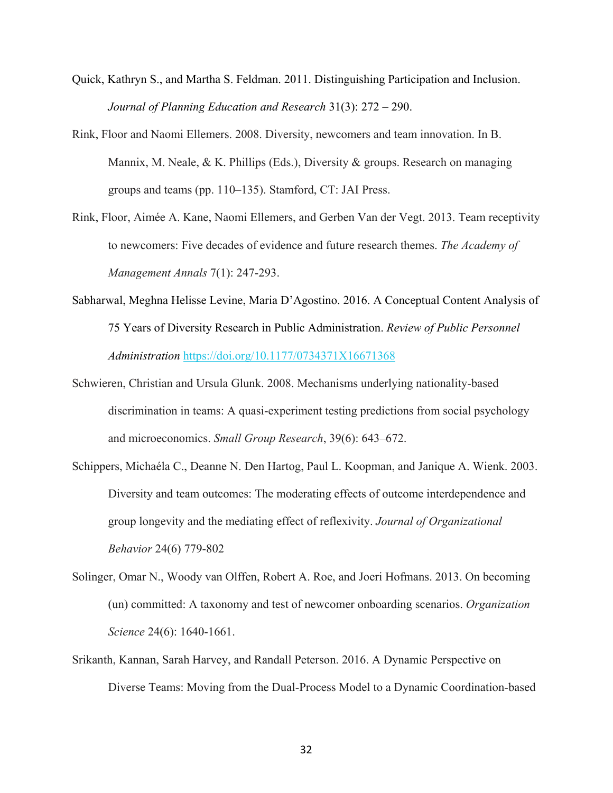- Quick, Kathryn S., and Martha S. Feldman. 2011. Distinguishing Participation and Inclusion. *Journal of Planning Education and Research* 31(3): 272 – 290.
- Rink, Floor and Naomi Ellemers. 2008. Diversity, newcomers and team innovation. In B. Mannix, M. Neale, & K. Phillips (Eds.), Diversity & groups. Research on managing groups and teams (pp. 110–135). Stamford, CT: JAI Press.
- Rink, Floor, Aimée A. Kane, Naomi Ellemers, and Gerben Van der Vegt. 2013. Team receptivity to newcomers: Five decades of evidence and future research themes. *The Academy of Management Annals* 7(1): 247-293.
- [Sabharwal,](http://journals.sagepub.com/author/Sabharwal%2C+Meghna) Meghna [Helisse Levine,](http://journals.sagepub.com/author/Levine%2C+Helisse) [Maria D'Agostino.](http://journals.sagepub.com/author/D%27Agostino%2C+Maria) 2016. A Conceptual Content Analysis of 75 Years of Diversity Research in Public Administration. *Review of Public Personnel Administration* <https://doi.org/10.1177/0734371X16671368>
- Schwieren, Christian and Ursula Glunk. 2008. Mechanisms underlying nationality-based discrimination in teams: A quasi-experiment testing predictions from social psychology and microeconomics. *Small Group Research*, 39(6): 643–672.
- Schippers, Michaéla C., Deanne N. Den Hartog, Paul L. Koopman, and Janique A. Wienk. 2003. Diversity and team outcomes: The moderating effects of outcome interdependence and group longevity and the mediating effect of reflexivity. *Journal of Organizational Behavior* 24(6) 779-802
- Solinger, Omar N., Woody van Olffen, Robert A. Roe, and Joeri Hofmans. 2013. On becoming (un) committed: A taxonomy and test of newcomer onboarding scenarios. *Organization Science* 24(6): 1640-1661.
- Srikanth, Kannan, Sarah Harvey, and Randall Peterson. 2016. A Dynamic Perspective on Diverse Teams: Moving from the Dual-Process Model to a Dynamic Coordination-based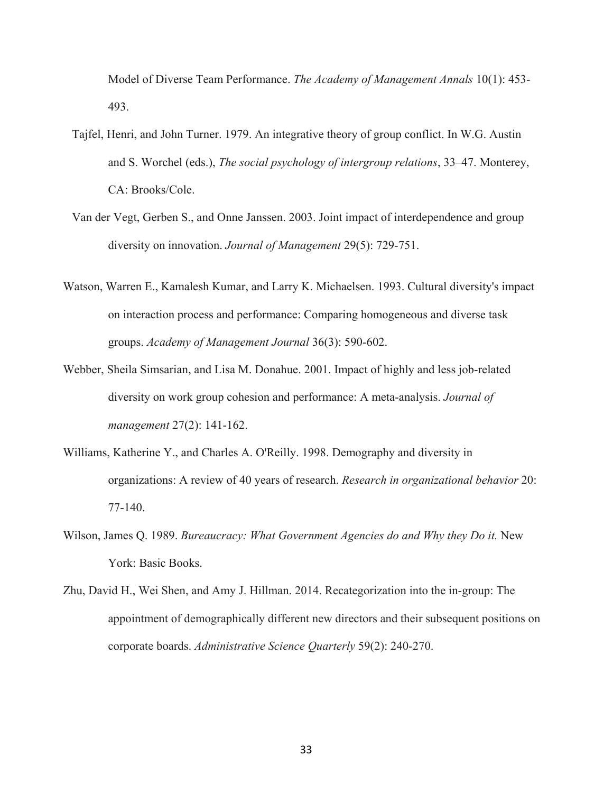Model of Diverse Team Performance. *The Academy of Management Annals* 10(1): 453- 493.

- Tajfel, Henri, and John Turner. 1979. An integrative theory of group conflict. In W.G. Austin and S. Worchel (eds.), *The social psychology of intergroup relations*, 33–47. Monterey, CA: Brooks/Cole.
- Van der Vegt, Gerben S., and Onne Janssen. 2003. Joint impact of interdependence and group diversity on innovation. *Journal of Management* 29(5): 729-751.
- Watson, Warren E., Kamalesh Kumar, and Larry K. Michaelsen. 1993. Cultural diversity's impact on interaction process and performance: Comparing homogeneous and diverse task groups. *Academy of Management Journal* 36(3): 590-602.
- Webber, Sheila Simsarian, and Lisa M. Donahue. 2001. Impact of highly and less job-related diversity on work group cohesion and performance: A meta-analysis. *Journal of management* 27(2): 141-162.
- Williams, Katherine Y., and Charles A. O'Reilly. 1998. Demography and diversity in organizations: A review of 40 years of research. *Research in organizational behavior* 20: 77-140.
- Wilson, James Q. 1989. *Bureaucracy: What Government Agencies do and Why they Do it.* New York: Basic Books.
- Zhu, David H., Wei Shen, and Amy J. Hillman. 2014. Recategorization into the in-group: The appointment of demographically different new directors and their subsequent positions on corporate boards. *Administrative Science Quarterly* 59(2): 240-270.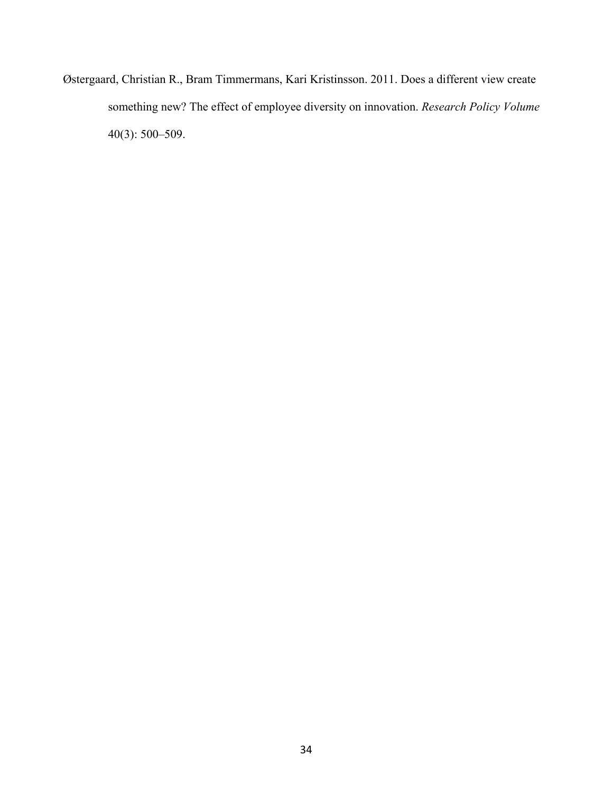Østergaard, Christian R., Bram Timmermans, Kari Kristinsson. 2011. Does a different view create something new? The effect of employee diversity on innovation. *Research Policy Volume* 40(3): 500–509.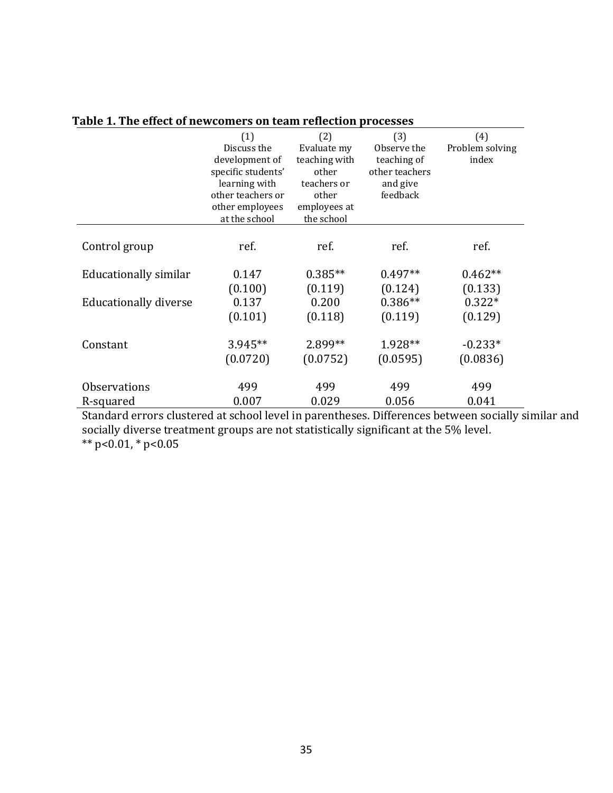|                              | (1)<br>Discuss the<br>development of<br>specific students'<br>learning with<br>other teachers or | (2)<br>Evaluate my<br>teaching with<br>other<br>teachers or<br>other | (3)<br>Observe the<br>teaching of<br>other teachers<br>and give<br>feedback | (4)<br>Problem solving<br>index |
|------------------------------|--------------------------------------------------------------------------------------------------|----------------------------------------------------------------------|-----------------------------------------------------------------------------|---------------------------------|
|                              | other employees<br>at the school                                                                 | employees at<br>the school                                           |                                                                             |                                 |
| Control group                | ref.                                                                                             | ref.                                                                 | ref.                                                                        | ref.                            |
| Educationally similar        | 0.147                                                                                            | $0.385**$                                                            | $0.497**$                                                                   | $0.462**$                       |
|                              | (0.100)                                                                                          | (0.119)                                                              | (0.124)                                                                     | (0.133)                         |
| <b>Educationally diverse</b> | 0.137                                                                                            | 0.200                                                                | $0.386**$                                                                   | $0.322*$                        |
|                              | (0.101)                                                                                          | (0.118)                                                              | (0.119)                                                                     | (0.129)                         |
| Constant                     | 3.945**                                                                                          | 2.899**                                                              | 1.928**                                                                     | $-0.233*$                       |
|                              | (0.0720)                                                                                         | (0.0752)                                                             | (0.0595)                                                                    | (0.0836)                        |
| <b>Observations</b>          | 499                                                                                              | 499                                                                  | 499                                                                         | 499                             |
| R-squared                    | 0.007                                                                                            | 0.029                                                                | 0.056<br>$\sim$                                                             | 0.041                           |

# **Table 1. The effect of newcomers on team reflection processes**

Standard errors clustered at school level in parentheses. Differences between socially similar and socially diverse treatment groups are not statistically significant at the 5% level. \*\* p<0.01, \* p<0.05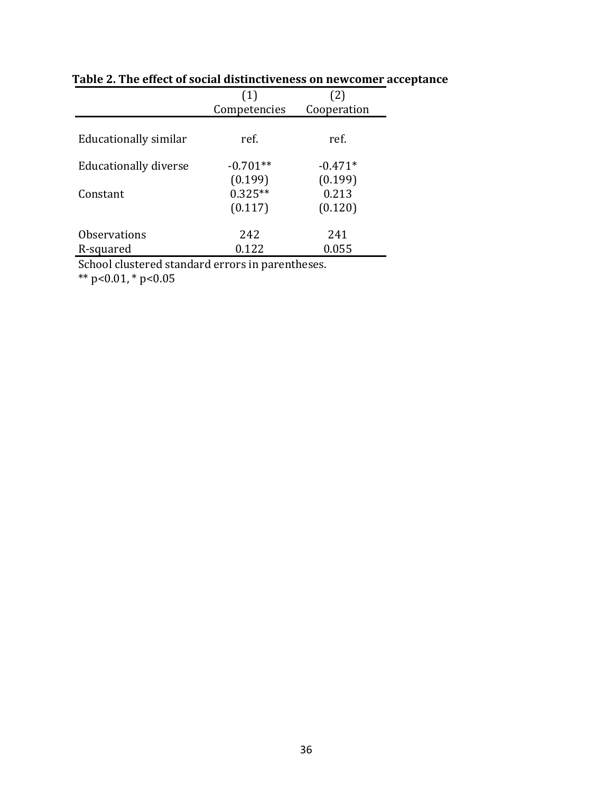|                       | (1)          | (2)         |
|-----------------------|--------------|-------------|
|                       | Competencies | Cooperation |
| Educationally similar | ref.         | ref.        |
| Educationally diverse | $-0.701**$   | $-0.471*$   |
|                       | (0.199)      | (0.199)     |
| Constant              | $0.325**$    | 0.213       |
|                       | (0.117)      | (0.120)     |
| <b>Observations</b>   | 242          | 241         |
| R-squared             | 0.122        | 0.055       |

**Table 2. The effect of social distinctiveness on newcomer acceptance**

School clustered standard errors in parentheses.

\*\* p<0.01, \* p<0.05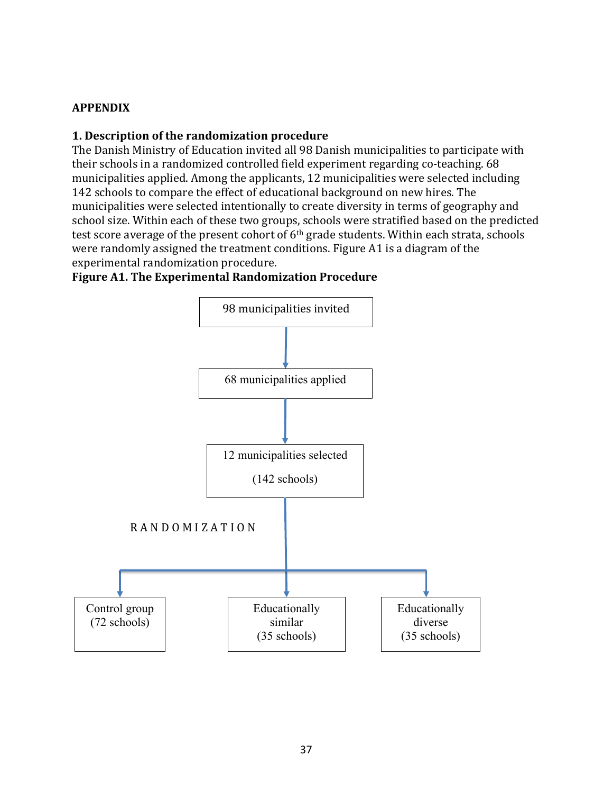# **APPENDIX**

# **1. Description of the randomization procedure**

The Danish Ministry of Education invited all 98 Danish municipalities to participate with their schools in a randomized controlled field experiment regarding co-teaching. 68 municipalities applied. Among the applicants, 12 municipalities were selected including 142 schools to compare the effect of educational background on new hires. The municipalities were selected intentionally to create diversity in terms of geography and school size. Within each of these two groups, schools were stratified based on the predicted test score average of the present cohort of  $6<sup>th</sup>$  grade students. Within each strata, schools were randomly assigned the treatment conditions. Figure A1 is a diagram of the experimental randomization procedure.

# **Figure A1. The Experimental Randomization Procedure**

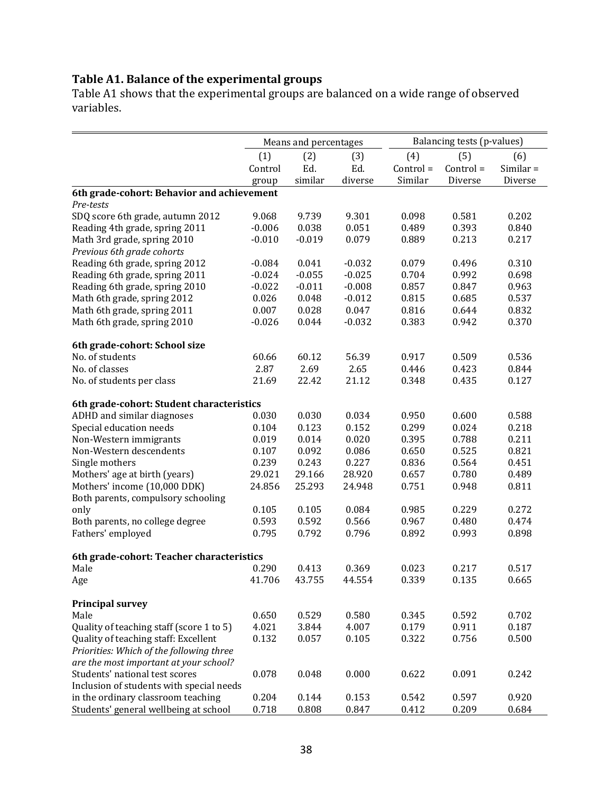# **Table A1. Balance of the experimental groups**

Table A1 shows that the experimental groups are balanced on a wide range of observed variables.

|                                            | Means and percentages |          |          | Balancing tests (p-values) |           |             |  |
|--------------------------------------------|-----------------------|----------|----------|----------------------------|-----------|-------------|--|
|                                            | (1)                   | (2)      | (3)      | (4)                        | (5)       | (6)         |  |
|                                            | Control               | Ed.      | Ed.      | Control =                  | Control = | $Similar =$ |  |
|                                            | group                 | similar  | diverse  | Similar                    | Diverse   | Diverse     |  |
| 6th grade-cohort: Behavior and achievement |                       |          |          |                            |           |             |  |
| Pre-tests                                  |                       |          |          |                            |           |             |  |
| SDQ score 6th grade, autumn 2012           | 9.068                 | 9.739    | 9.301    | 0.098                      | 0.581     | 0.202       |  |
| Reading 4th grade, spring 2011             | $-0.006$              | 0.038    | 0.051    | 0.489                      | 0.393     | 0.840       |  |
| Math 3rd grade, spring 2010                | $-0.010$              | $-0.019$ | 0.079    | 0.889                      | 0.213     | 0.217       |  |
| Previous 6th grade cohorts                 |                       |          |          |                            |           |             |  |
| Reading 6th grade, spring 2012             | $-0.084$              | 0.041    | $-0.032$ | 0.079                      | 0.496     | 0.310       |  |
| Reading 6th grade, spring 2011             | $-0.024$              | $-0.055$ | $-0.025$ | 0.704                      | 0.992     | 0.698       |  |
| Reading 6th grade, spring 2010             | $-0.022$              | $-0.011$ | $-0.008$ | 0.857                      | 0.847     | 0.963       |  |
| Math 6th grade, spring 2012                | 0.026                 | 0.048    | $-0.012$ | 0.815                      | 0.685     | 0.537       |  |
| Math 6th grade, spring 2011                | 0.007                 | 0.028    | 0.047    | 0.816                      | 0.644     | 0.832       |  |
| Math 6th grade, spring 2010                | $-0.026$              | 0.044    | $-0.032$ | 0.383                      | 0.942     | 0.370       |  |
| 6th grade-cohort: School size              |                       |          |          |                            |           |             |  |
| No. of students                            | 60.66                 | 60.12    | 56.39    | 0.917                      | 0.509     | 0.536       |  |
| No. of classes                             | 2.87                  | 2.69     | 2.65     | 0.446                      | 0.423     | 0.844       |  |
| No. of students per class                  | 21.69                 | 22.42    | 21.12    | 0.348                      | 0.435     | 0.127       |  |
| 6th grade-cohort: Student characteristics  |                       |          |          |                            |           |             |  |
| ADHD and similar diagnoses                 | 0.030                 | 0.030    | 0.034    | 0.950                      | 0.600     | 0.588       |  |
| Special education needs                    | 0.104                 | 0.123    | 0.152    | 0.299                      | 0.024     | 0.218       |  |
| Non-Western immigrants                     | 0.019                 | 0.014    | 0.020    | 0.395                      | 0.788     | 0.211       |  |
| Non-Western descendents                    | 0.107                 | 0.092    | 0.086    | 0.650                      | 0.525     | 0.821       |  |
| Single mothers                             | 0.239                 | 0.243    | 0.227    | 0.836                      | 0.564     | 0.451       |  |
| Mothers' age at birth (years)              | 29.021                | 29.166   | 28.920   | 0.657                      | 0.780     | 0.489       |  |
| Mothers' income (10,000 DDK)               | 24.856                | 25.293   | 24.948   | 0.751                      | 0.948     | 0.811       |  |
| Both parents, compulsory schooling         |                       |          |          |                            |           |             |  |
| only                                       | 0.105                 | 0.105    | 0.084    | 0.985                      | 0.229     | 0.272       |  |
| Both parents, no college degree            | 0.593                 | 0.592    | 0.566    | 0.967                      | 0.480     | 0.474       |  |
| Fathers' employed                          | 0.795                 | 0.792    | 0.796    | 0.892                      | 0.993     | 0.898       |  |
|                                            |                       |          |          |                            |           |             |  |
| 6th grade-cohort: Teacher characteristics  |                       |          |          |                            |           |             |  |
| Male                                       | 0.290                 | 0.413    | 0.369    | 0.023                      | 0.217     | 0.517       |  |
| Age                                        | 41.706                | 43.755   | 44.554   | 0.339                      | 0.135     | 0.665       |  |
| <b>Principal survey</b>                    |                       |          |          |                            |           |             |  |
| Male                                       | 0.650                 | 0.529    | 0.580    | 0.345                      | 0.592     | 0.702       |  |
| Quality of teaching staff (score 1 to 5)   | 4.021                 | 3.844    | 4.007    | 0.179                      | 0.911     | 0.187       |  |
| Quality of teaching staff: Excellent       | 0.132                 | 0.057    | 0.105    | 0.322                      | 0.756     | 0.500       |  |
| Priorities: Which of the following three   |                       |          |          |                            |           |             |  |
| are the most important at your school?     |                       |          |          |                            |           |             |  |
| Students' national test scores             | 0.078                 | 0.048    | 0.000    | 0.622                      | 0.091     | 0.242       |  |
| Inclusion of students with special needs   |                       |          |          |                            |           |             |  |
| in the ordinary classroom teaching         | 0.204                 | 0.144    | 0.153    | 0.542                      | 0.597     | 0.920       |  |
| Students' general wellbeing at school      | 0.718                 | 0.808    | 0.847    | 0.412                      | 0.209     | 0.684       |  |